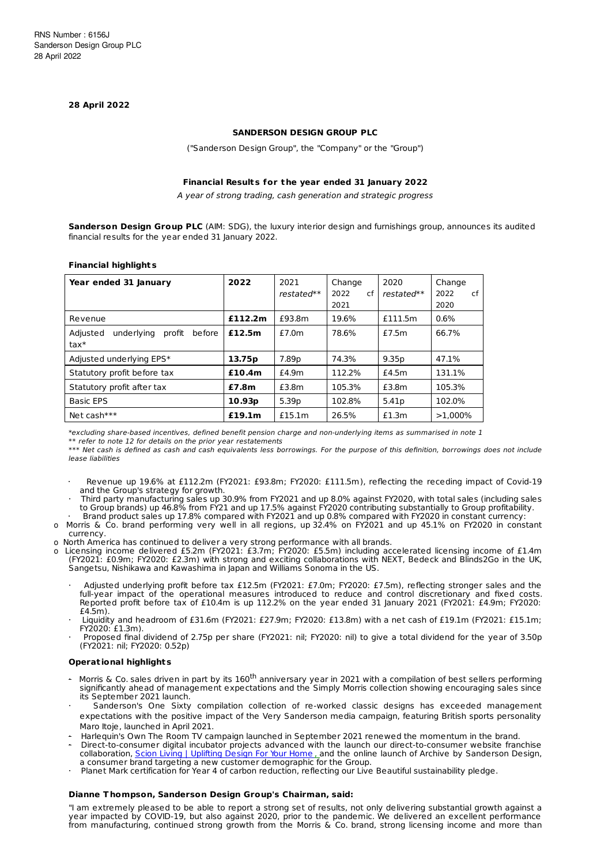#### **28 April 2022**

#### **SANDERSON DESIGN GROUP PLC**

("Sanderson Design Group", the "Company" or the "Group")

### **Financial Results for t he year ended 31 January 2022**

A year of strong trading, cash generation and strategic progress

**Sanderson Design Group PLC** (AIM: SDG), the luxury interior design and furnishings group, announces its audited financial results for the year ended 31 January 2022.

| Year ended 31 January                                | 2022               | 2021<br>restated** | Change<br>2022<br>cf<br>2021 | 2020<br>$restated**$ | Change<br>2022<br>сf<br>2020 |
|------------------------------------------------------|--------------------|--------------------|------------------------------|----------------------|------------------------------|
| Revenue                                              | £112.2m            | £93.8m             | 19.6%                        | £111.5m              | 0.6%                         |
| underlying<br>profit<br>Adjusted<br>before<br>$tax*$ | £12.5m             | £7.0m              | 78.6%                        | f7.5m                | 66.7%                        |
| Adjusted underlying EPS*                             | 13.75p             | 7.89p              | 74.3%                        | 9.35p                | 47.1%                        |
| Statutory profit before tax                          | £10.4m             | £4.9m              | 112.2%                       | £4.5m                | 131.1%                       |
| Statutory profit after tax                           | £7.8m              | £3.8m              | 105.3%                       | £3.8m                | 105.3%                       |
| <b>Basic EPS</b>                                     | 10.93 <sub>p</sub> | 5.39 <sub>p</sub>  | 102.8%                       | 5.41 <sub>p</sub>    | 102.0%                       |
| Net cash***                                          | £19.1m             | £15.1m             | 26.5%                        | £1.3m                | $>1.000\%$                   |

# **Financial highlights**

\*excluding share-based incentives, defined benefit pension charge and non-underlying items as summarised in note 1 \*\* refer to note 12 for details on the prior year restatements

\*\*\* Net cash is defined as cash and cash equivalents less borrowings. For the purpose of this definition, borrowings does not include lease liabilities

- Revenue up 19.6% at £112.2m (FY2021: £93.8m: FY2020: £111.5m), reflecting the receding impact of Covid-19 and the Group's strategy for growth.
- · Third party manufacturing sales up 30.9% from FY2021 and up 8.0% against FY2020, with total sales (including sales to Group brands) up 46.8% from FY21 and up 17.5% against FY2020 contributing substantially to Group profitability.
- · Brand product sales up 17.8% compared with FY2021 and up 0.8% compared with FY2020 in constant currency: o Morris & Co. brand performing very well in all regions, up 32.4% on FY2021 and up 45.1% on FY2020 in constant currency.
- o North America has continued to deliver a very strong performance with all brands.
- o Licensing income delivered £5.2m (FY2021: £3.7m; FY2020: £5.5m) including accelerated licensing income of £1.4m (FY2021: £0.9m; FY2020: £2.3m) with strong and exciting collaborations with NEXT, Bedeck and Blinds2Go in the UK, Sangetsu, Nishikawa and Kawashima in Japan and Williams Sonoma in the US.
	- Adjusted underlying profit before tax £12.5m (FY2021: £7.0m; FY2020: £7.5m), reflecting stronger sales and the full-year impact of the operational measures introduced to reduce and control discretionary and fixed costs. Reported profit before tax of £10.4m is up 112.2% on the year ended 31 January 2021 (FY2021: £4.9m; FY2020:  $f4.5m$ ).
	- · Liquidity and headroom of £31.6m (FY2021: £27.9m; FY2020: £13.8m) with a net cash of £19.1m (FY2021: £15.1m; FY2020: £1.3m).
	- · Proposed final dividend of 2.75p per share (FY2021: nil; FY2020: nil) to give a total dividend for the year of 3.50p (FY2021: nil; FY2020: 0.52p)

#### **Operat ional highlights**

- Morris & Co. sales driven in part by its 160<sup>th</sup> anniversary year in 2021 with a compilation of best sellers performing significantly ahead of management expectations and the Simply Morris collection showing encouraging sales since its September 2021 launch.
- Sanderson's One Sixty compilation collection of re-worked classic designs has exceeded management expectations with the positive impact of the Very Sanderson media campaign, featuring British sports personality Maro Itoje, launched in April 2021.
- · Harlequin's Own The Room TV campaign launched in September 2021 renewed the momentum in the brand.
- · Direct-to-consumer digital incubator projects advanced with the launch our direct-to-consumer website franchise collaboration, Scion Living | [Uplifting](https://www.scionliving.com/) Design For Your Home, and the online launch of Archive by Sanderson Design, a consumer brand targeting a new customer demographic for the Group.
- · Planet Mark certification for Year 4 of carbon reduction, reflecting our Live Beautiful sustainability pledge.

#### **Dianne T hompson, Sanderson Design Group's Chairman, said:**

"I am extremely pleased to be able to report a strong set of results, not only delivering substantial growth against a year impacted by COVID-19, but also against 2020, prior to the pandemic. We delivered an excellent performance from manufacturing, continued strong growth from the Morris & Co. brand, strong licensing income and more than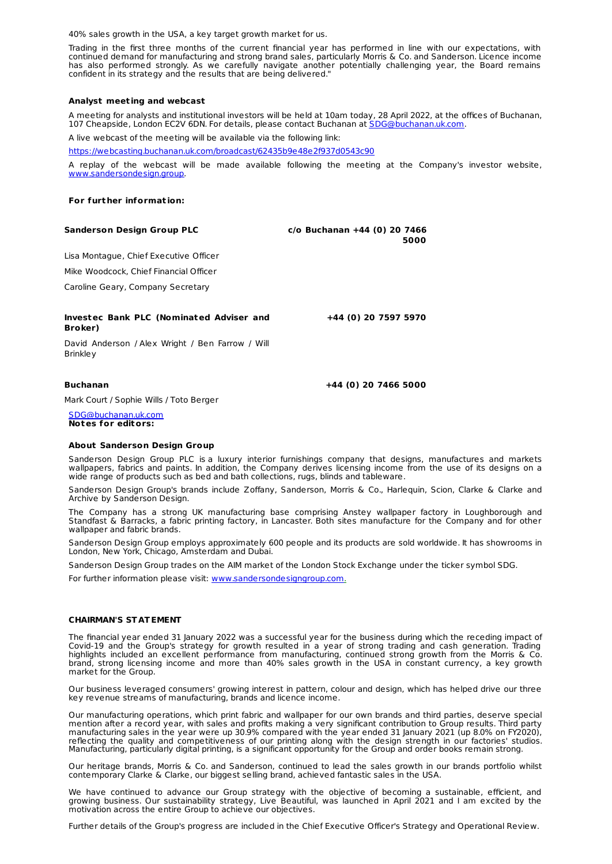40% sales growth in the USA, a key target growth market for us.

Trading in the first three months of the current financial year has performed in line with our expectations, with continued demand for manufacturing and strong brand sales, particularly Morris & Co. and Sanderson. Licence income has also performed strongly. As we carefully navigate another potentially challenging year, the Board remains confident in its strategy and the results that are being delivered."

#### **Analyst meet ing and webcast**

A meeting for analysts and institutional investors will be held at 10am today, 28 April 2022, at the offices of Buchanan, 107 Cheapside, London EC2V 6DN. For details, please contact Buchanan at [SDG@buchanan.uk.com](mailto:SDG@buchanan.uk.com).

A live webcast of the meeting will be available via the following link:

<https://webcasting.buchanan.uk.com/broadcast/62435b9e48e2f937d0543c90>

A replay of the webcast will be made available following the meeting at the Company's investor website, [www.sandersondesign.group](http://www.sandersondesign.group).

#### **For furt her informat ion:**

| <b>Sanderson Design Group PLC</b>                                   | $c$ /o Buchanan +44 (0) 20 7466<br>5000 |
|---------------------------------------------------------------------|-----------------------------------------|
| Lisa Montague, Chief Executive Officer                              |                                         |
| Mike Woodcock, Chief Financial Officer                              |                                         |
| Caroline Geary, Company Secretary                                   |                                         |
|                                                                     |                                         |
| <b>Investec Bank PLC (Nominated Adviser and</b><br>Broker)          | +44 (0) 20 7597 5970                    |
| David Anderson / Alex Wright / Ben Farrow / Will<br><b>Brinkley</b> |                                         |

#### **Buchanan +44 (0) 20 7466 5000**

Mark Court / Sophie Wills / Toto Berger

[SDG@buchanan.uk.com](mailto:SDG@buchanan.uk.com) **Notes for editors:**

#### **About Sanderson Design Group**

Sanderson Design Group PLC is a luxury interior furnishings company that designs, manufactures and markets wallpapers, fabrics and paints. In addition, the Company derives licensing income from the use of its designs on a wide range of products such as bed and bath collections, rugs, blinds and tableware.

Sanderson Design Group's brands include Zoffany, Sanderson, Morris & Co., Harlequin, Scion, Clarke & Clarke and Archive by Sanderson Design.

The Company has a strong UK manufacturing base comprising Anstey wallpaper factory in Loughborough and Standfast & Barracks, a fabric printing factory, in Lancaster. Both sites manufacture for the Company and for other wallpaper and fabric brands.

Sanderson Design Group employs approximately 600 people and its products are sold worldwide. It has showrooms in London, New York, Chicago, Amsterdam and Dubai.

Sanderson Design Group trades on the AIM market of the London Stock Exchange under the ticker symbol SDG.

For further information please visit: [www.sandersondesigngroup.com](http://www.sandersondesigngroup.com).

#### **CHAIRMAN'S ST ATEMENT**

The financial year ended 31 January 2022 was a successful year for the business during which the receding impact of Covid-19 and the Group's strategy for growth resulted in a year of strong trading and cash generation. Trading highlights included an excellent performance from manufacturing, continued strong growth from the Morris & Co. brand, strong licensing income and more than 40% sales growth in the USA in constant currency, a key growth market for the Group.

Our business leveraged consumers' growing interest in pattern, colour and design, which has helped drive our three key revenue streams of manufacturing, brands and licence income.

Our manufacturing operations, which print fabric and wallpaper for our own brands and third parties, deserve special mention after a record year, with sales and profits making a very significant contribution to Group results. Third party manufacturing sales in the year were up 30.9% compared with the year ended 31 January 2021 (up 8.0% on FY2020), reflecting the quality and competitiveness of our printing along with the design strength in our factories' studios. Manufacturing, particularly digital printing, is a significant opportunity for the Group and order books remain strong.

Our heritage brands, Morris & Co. and Sanderson, continued to lead the sales growth in our brands portfolio whilst contemporary Clarke & Clarke, our biggest selling brand, achieved fantastic sales in the USA.

We have continued to advance our Group strategy with the objective of becoming a sustainable, efficient, and growing business. Our sustainability strategy, Live Beautiful, was launched in April 2021 and I am excited by the motivation across the entire Group to achieve our objectives.

Further details of the Group's progress are included in the Chief Executive Officer's Strategy and Operational Review.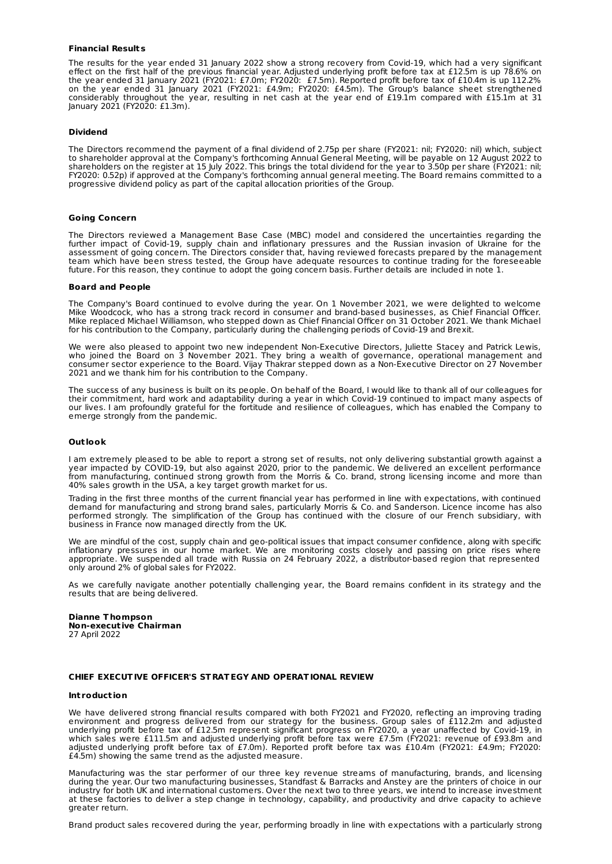#### **Financial Results**

The results for the year ended 31 January 2022 show a strong recovery from Covid-19, which had a very significant effect on the first half of the previous financial year. Adjusted underlying profit before tax at £12.5m is up 78.6% on the year ended 31 January 2021 (FY2021: £7.0m; FY2020: £7.5m). Reported profit before tax of £10.4m is up 112.2% on the year ended 31 January 2021 (FY2021: £4.9m; FY2020: £4.5m). The Group's balance sheet strengthened considerably throughout the year, resulting in net cash at the year end of £19.1m compared with £15.1m at 31 January 2021 (FY2020: £1.3m).

#### **Dividend**

The Directors recommend the payment of a final dividend of 2.75p per share (FY2021: nil; FY2020: nil) which, subject to shareholder approval at the Company's forthcoming Annual General Meeting, will be payable on 12 August 2022 to shareholders on the register at 15 July 2022. This brings the total dividend for the year to 3.50p per share (FY2021: nil; FY2020: 0.52p) if approved at the Company's forthcoming annual general meeting. The Board remains committed to a progressive dividend policy as part of the capital allocation priorities of the Group.

#### **Going Concern**

The Directors reviewed a Management Base Case (MBC) model and considered the uncertainties regarding the further impact of Covid-19, supply chain and inflationary pressures and the Russian invasion of Ukraine for the assessment of going concern. The Directors consider that, having reviewed forecasts prepared by the management team which have been stress tested, the Group have adequate resources to continue trading for the foreseeable future. For this reason, they continue to adopt the going concern basis. Further details are included in note 1.

#### **Board and People**

The Company's Board continued to evolve during the year. On 1 November 2021, we were delighted to welcome Mike Woodcock, who has a strong track record in consumer and brand-based businesses, as Chief Financial Officer. Mike replaced Michael Williamson, who stepped down as Chief Financial Officer on 31 October 2021. We thank Michael for his contribution to the Company, particularly during the challenging periods of Covid-19 and Brexit.

We were also pleased to appoint two new independent Non-Executive Directors, Juliette Stacey and Patrick Lewis, who joined the Board on 3 November 2021. They bring a wealth of governance, operational management and consumer sector experience to the Board. Vijay Thakrar stepped down as a Non-Executive Director on 27 November 2021 and we thank him for his contribution to the Company.

The success of any business is built on its people. On behalf of the Board, I would like to thank all of our colleagues for their commitment, hard work and adaptability during a year in which Covid-19 continued to impact many aspects of our lives. I am profoundly grateful for the fortitude and resilience of colleagues, which has enabled the Company to emerge strongly from the pandemic.

#### **Out look**

I am extremely pleased to be able to report a strong set of results, not only delivering substantial growth against a year impacted by COVID-19, but also against 2020, prior to the pandemic. We delivered an excellent performance from manufacturing, continued strong growth from the Morris & Co. brand, strong licensing income and more than 40% sales growth in the USA, a key target growth market for us.

Trading in the first three months of the current financial year has performed in line with expectations, with continued demand for manufacturing and strong brand sales, particularly Morris & Co. and Sanderson. Licence income has also performed strongly. The simplification of the Group has continued with the closure of our French subsidiary, with business in France now managed directly from the UK.

We are mindful of the cost, supply chain and geo-political issues that impact consumer confidence, along with specific inflationary pressures in our home market. We are monitoring costs closely and passing on price rises where appropriate. We suspended all trade with Russia on 24 February 2022, a distributor-based region that represented only around 2% of global sales for FY2022.

As we carefully navigate another potentially challenging year, the Board remains confident in its strategy and the results that are being delivered.

#### **Dianne T hompson Non-execut ive Chairman** 27 April 2022

#### **CHIEF EXECUTIVE OFFICER'S ST RATEGY AND OPERATIONAL REVIEW**

#### **Int roduct ion**

We have delivered strong financial results compared with both FY2021 and FY2020, reflecting an improving trading environment and progress delivered from our strategy for the business. Group sales of £112.2m and adjusted underlying profit before tax of £12.5m represent significant progress on FY2020, a year unaffected by Covid-19, in which sales were £111.5m and adjusted underlying profit before tax were £7.5m (FY2021: revenue of £93.8m and adjusted underlying profit before tax of £7.0m). Reported profit before tax was £10.4m (FY2021: £4.9m; FY2020: £4.5m) showing the same trend as the adjusted measure.

Manufacturing was the star performer of our three key revenue streams of manufacturing, brands, and licensing during the year. Our two manufacturing businesses, Standfast & Barracks and Anstey are the printers of choice in our industry for both UK and international customers. Over the next two to three years, we intend to increase investment at these factories to deliver a step change in technology, capability, and productivity and drive capacity to achieve greater return.

Brand product sales recovered during the year, performing broadly in line with expectations with a particularly strong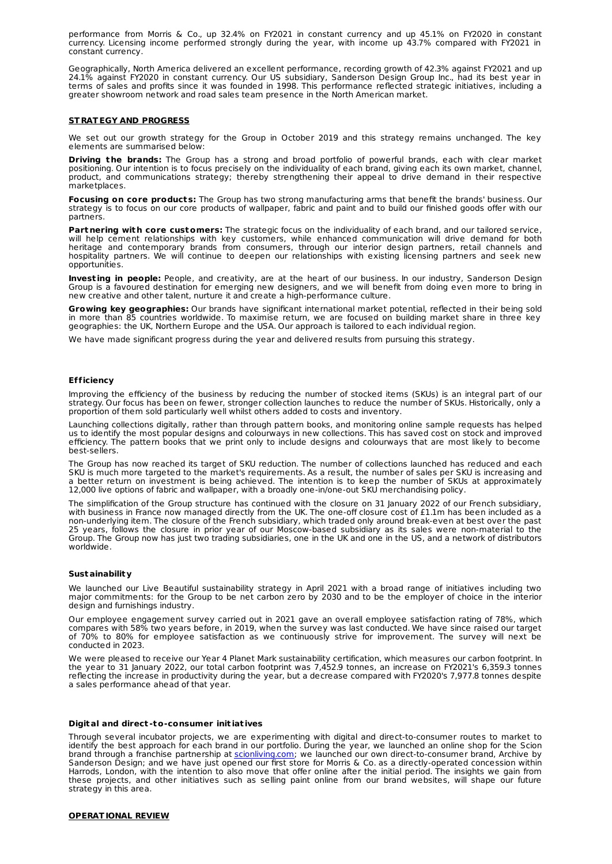performance from Morris & Co., up 32.4% on FY2021 in constant currency and up 45.1% on FY2020 in constant currency. Licensing income performed strongly during the year, with income up 43.7% compared with FY2021 in constant currency.

Geographically, North America delivered an excellent performance, recording growth of 42.3% against FY2021 and up 24.1% against FY2020 in constant currency. Our US subsidiary, Sanderson Design Group Inc., had its best year in terms of sales and profits since it was founded in 1998. This performance reflected strategic initiatives, including a greater showroom network and road sales team presence in the North American market.

#### **ST RATEGY AND PROGRESS**

We set out our growth strategy for the Group in October 2019 and this strategy remains unchanged. The key elements are summarised below:

**Driving t he brands:** The Group has a strong and broad portfolio of powerful brands, each with clear market positioning. Our intention is to focus precisely on the individuality of each brand, giving each its own market, channel, product, and communications strategy; thereby strengthening their appeal to drive demand in their respective marketplaces.

**Focusing on core products:** The Group has two strong manufacturing arms that benefit the brands' business. Our strategy is to focus on our core products of wallpaper, fabric and paint and to build our finished goods offer with our partners.

Partnering with core customers: The strategic focus on the individuality of each brand, and our tailored service, will help cement relationships with key customers, while enhanced communication will drive demand for both heritage and contemporary brands from consumers, through our interior design partners, retail channels and hospitality partners. We will continue to deepen our relationships with existing licensing partners and seek new opportunities.

**Invest ing in people:** People, and creativity, are at the heart of our business. In our industry, Sanderson Design Group is a favoured destination for emerging new designers, and we will benefit from doing even more to bring in new creative and other talent, nurture it and create a high-performance culture.

**Growing key geographies:** Our brands have significant international market potential, reflected in their being sold in more than 85 countries worldwide. To maximise return, we are focused on building market share in three key geographies: the UK, Northern Europe and the USA. Our approach is tailored to each individual region.

We have made significant progress during the year and delivered results from pursuing this strategy.

#### **Efficiency**

Improving the efficiency of the business by reducing the number of stocked items (SKUs) is an integral part of our strategy. Our focus has been on fewer, stronger collection launches to reduce the number of SKUs. Historically, only a proportion of them sold particularly well whilst others added to costs and inventory.

Launching collections digitally, rather than through pattern books, and monitoring online sample requests has helped us to identify the most popular designs and colourways in new collections. This has saved cost on stock and improved efficiency. The pattern books that we print only to include designs and colourways that are most likely to become best-sellers.

The Group has now reached its target of SKU reduction. The number of collections launched has reduced and each SKU is much more targeted to the market's requirements. As a result, the number of sales per SKU is increasing and a better return on investment is being achieved. The intention is to keep the number of SKUs at approximately 12,000 live options of fabric and wallpaper, with a broadly one-in/one-out SKU merchandising policy.

The simplification of the Group structure has continued with the closure on 31 January 2022 of our French subsidiary, with business in France now managed directly from the UK. The one-off closure cost of £1.1m has been included as a non-underlying item. The closure of the French subsidiary, which traded only around break-even at best over the past 25 years, follows the closure in prior year of our Moscow-based subsidiary as its sales were non-material to the Group. The Group now has just two trading subsidiaries, one in the UK and one in the US, and a network of distributors worldwide.

#### **Sustainability**

We launched our Live Beautiful sustainability strategy in April 2021 with a broad range of initiatives including two major commitments: for the Group to be net carbon zero by 2030 and to be the employer of choice in the interior design and furnishings industry.

Our employee engagement survey carried out in 2021 gave an overall employee satisfaction rating of 78%, which compares with 58% two years before, in 2019, when the survey was last conducted. We have since raised our target of 70% to 80% for employee satisfaction as we continuously strive for improvement. The survey will next be conducted in 2023.

We were pleased to receive our Year 4 Planet Mark sustainability certification, which measures our carbon footprint. In the year to 31 January 2022, our total carbon footprint was 7,452.9 tonnes, an increase on FY2021's 6,359.3 tonnes reflecting the increase in productivity during the year, but a decrease compared with FY2020's 7,977.8 tonnes despite a sales performance ahead of that year.

#### **Digital and direct -to-consumer init iat ives**

Through several incubator projects, we are experimenting with digital and direct-to-consumer routes to market to identify the best approach for each brand in our portfolio. During the year, we launched an online shop for the Scion brand through a franchise partnership at [scionliving.com](http://scionliving.com); we launched our own direct-to-consumer brand, Archive by Sanderson Design; and we have just opened our first store for Morris & Co. as a directly-operated concession within Harrods, London, with the intention to also move that offer online after the initial period. The insights we gain from these projects, and other initiatives such as selling paint online from our brand websites, will shape our future strategy in this area.

#### **OPERATIONAL REVIEW**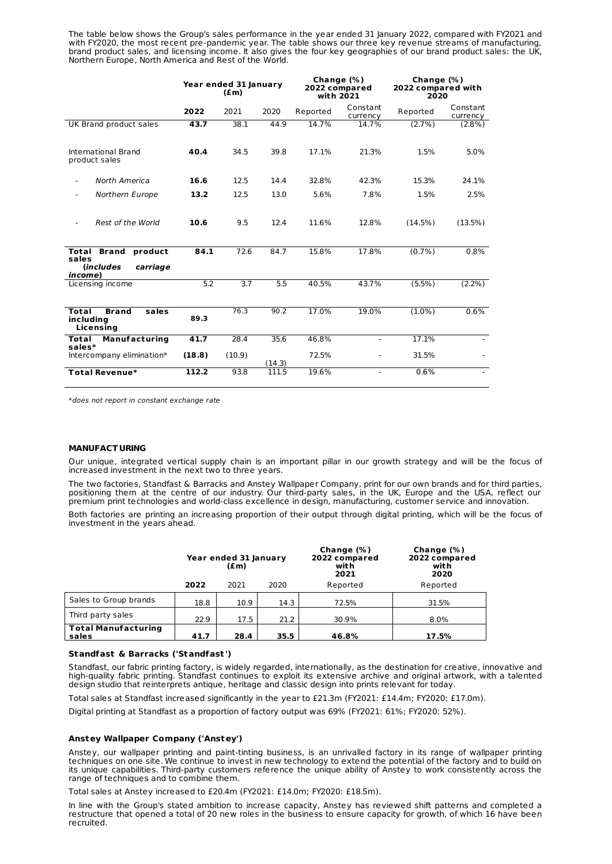The table below shows the Group's sales performance in the year ended 31 January 2022, compared with FY2021 and with FY2020, the most recent pre-pandemic year. The table shows our three key revenue streams of manufacturing, brand product sales, and licensing income. It also gives the four key geographies of our brand product sales: the UK, Northern Europe, North America and Rest of the World.

|                                                                                                           | Year ended 31 January<br>$(\text{fm})$ |                  |        | Change $(\%)$<br>2022 compared<br>with 2021 |                      | Change (%)<br>2022 compared with<br>2020 |                      |
|-----------------------------------------------------------------------------------------------------------|----------------------------------------|------------------|--------|---------------------------------------------|----------------------|------------------------------------------|----------------------|
|                                                                                                           | 2022                                   | 2021             | 2020   | Reported                                    | Constant<br>currency | Reported                                 | Constant<br>currency |
| UK Brand product sales                                                                                    | 43.7                                   | 38.1             | 44.9   | 14.7%                                       | 14.7%                | (2.7%                                    | $(2.8\%)$            |
| International Brand<br>product sales                                                                      | 40.4                                   | 34.5             | 39.8   | 17.1%                                       | 21.3%                | 1.5%                                     | 5.0%                 |
| North America                                                                                             | 16.6                                   | 12.5             | 14.4   | 32.8%                                       | 42.3%                | 15.3%                                    | 24.1%                |
| Northern Europe                                                                                           | 13.2                                   | 12.5             | 13.0   | 5.6%                                        | 7.8%                 | 1.5%                                     | 2.5%                 |
| Rest of the World                                                                                         | 10.6                                   | 9.5              | 12.4   | 11.6%                                       | 12.8%                | (14.5%)                                  | (13.5%)              |
| <b>Brand</b><br>product<br>Total<br>sales<br>carriage<br><i><u><b>Includes</b></u></i><br><i>income</i> ) | 84.1                                   | 72.6             | 84.7   | 15.8%                                       | 17.8%                | $(0.7\%)$                                | $0.8\%$              |
| Licensing income                                                                                          | $\overline{5.2}$                       | $\overline{3.7}$ | 5.5    | 40.5%                                       | 43.7%                | $(5.5\%)$                                | $(2.2\%)$            |
| Total<br><b>Brand</b><br>sales<br>including<br>Licensing                                                  | 89.3                                   | 76.3             | 90.2   | 17.0%                                       | 19.0%                | $(1.0\%)$                                | 0.6%                 |
| <b>Manufacturing</b><br>Total<br>sales*                                                                   | 41.7                                   | 28.4             | 35.6   | 46.8%                                       | $\blacksquare$       | 17.1%                                    |                      |
| Intercompany elimination*                                                                                 | (18.8)                                 | (10.9)           | (14.3) | 72.5%                                       |                      | 31.5%                                    |                      |
| Total Revenue*                                                                                            | 112.2                                  | 93.8             | 111.5  | 19.6%                                       |                      | 0.6%                                     |                      |

\*does not report in constant exchange rate

#### **MANUFACT URING**

Our unique, integrated vertical supply chain is an important pillar in our growth strategy and will be the focus of increased investment in the next two to three years.

The two factories, Standfast & Barracks and Anstey Wallpaper Company, print for our own brands and for third parties, positioning them at the centre of our industry. Our third-party sales, in the UK, Europe and the USA, reflect our premium print technologies and world-class excellence in design, manufacturing, customer service and innovation.

Both factories are printing an increasing proportion of their output through digital printing, which will be the focus of investment in the years ahead.

|                                     | Year ended 31 January<br>(£m) |      |      | Change $(\%)$<br>2022 compared<br>with<br>2021 | Change (%)<br>2022 compared<br>with<br>2020 |  |
|-------------------------------------|-------------------------------|------|------|------------------------------------------------|---------------------------------------------|--|
|                                     | 2022                          | 2021 | 2020 | Reported                                       | Reported                                    |  |
| Sales to Group brands               | 18.8                          | 10.9 | 14.3 | 72.5%                                          | 31.5%                                       |  |
| Third party sales                   | 22.9                          | 17.5 | 21.2 | 30.9%                                          | $8.0\%$                                     |  |
| <b>Total Manufacturing</b><br>sales | 41.7                          | 28.4 | 35.5 | 46.8%                                          | 17.5%                                       |  |

#### **Standfast & Barracks ('Standfast ')**

Standfast, our fabric printing factory, is widely regarded, internationally, as the destination for creative, innovative and high-quality fabric printing. Standfast continues to exploit its extensive archive and original artwork, with a talented design studio that reinterprets antique, heritage and classic design into prints relevant for today.

Total sales at Standfast increased significantly in the year to £21.3m (FY2021: £14.4m; FY2020: £17.0m).

Digital printing at Standfast as a proportion of factory output was 69% (FY2021: 61%; FY2020: 52%).

#### **Anstey Wallpaper Company ('Anstey')**

Anstey, our wallpaper printing and paint-tinting business, is an unrivalled factory in its range of wallpaper printing techniques on one site. We continue to invest in new technology to extend the potential of the factory and to build on its unique capabilities. Third-party customers reference the unique ability of Anstey to work consistently across the range of techniques and to combine them.

Total sales at Anstey increased to £20.4m (FY2021: £14.0m; FY2020: £18.5m).

In line with the Group's stated ambition to increase capacity, Anstey has reviewed shift patterns and completed a restructure that opened a total of 20 new roles in the business to ensure capacity for growth, of which 16 have been recruited.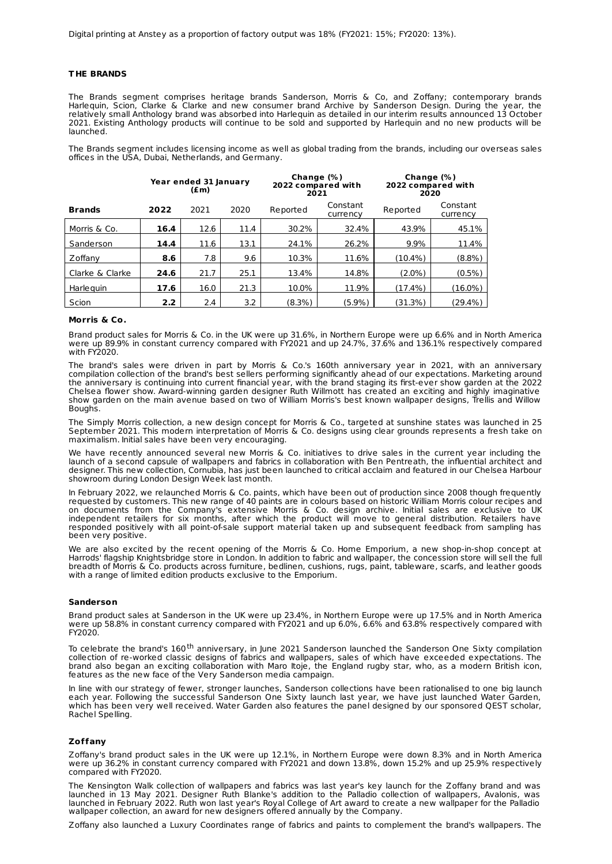#### **T HE BRANDS**

The Brands segment comprises heritage brands Sanderson, Morris & Co, and Zoffany; contemporary brands Harlequin, Scion, Clarke & Clarke and new consumer brand Archive by Sanderson Design. During the year, the relatively small Anthology brand was absorbed into Harlequin as detailed in our interim results announced 13 October 2021. Existing Anthology products will continue to be sold and supported by Harlequin and no new products will be launched.

The Brands segment includes licensing income as well as global trading from the brands, including our overseas sales offices in the USA, Dubai, Netherlands, and Germany.

|                 |                  | Year ended 31 January<br>(£m) |      | Change $(\%)$<br>2022 compared with<br>2021 |                      | Change $(\%)$<br>2022 compared with<br>2020 |                      |  |
|-----------------|------------------|-------------------------------|------|---------------------------------------------|----------------------|---------------------------------------------|----------------------|--|
| <b>Brands</b>   | 2022             | 2021                          | 2020 | Reported                                    | Constant<br>currency | Reported                                    | Constant<br>currency |  |
| Morris & Co.    | 16.4             | 12.6                          | 11.4 | 30.2%                                       | 32.4%                | 43.9%                                       | 45.1%                |  |
| Sanderson       | 14.4             | 11.6                          | 13.1 | 24.1%                                       | 26.2%                | 9.9%                                        | 11.4%                |  |
| Zoffany         | 8.6              | 7.8                           | 9.6  | 10.3%                                       | 11.6%                | (10.4%)                                     | (8.8%)               |  |
| Clarke & Clarke | 24.6             | 21.7                          | 25.1 | 13.4%                                       | 14.8%                | $(2.0\%)$                                   | $(0.5\%)$            |  |
| Harleguin       | 17.6             | 16.0                          | 21.3 | 10.0%                                       | 11.9%                | (17.4%)                                     | (16.0%)              |  |
| Scion           | 2.2 <sub>2</sub> | 2.4                           | 3.2  | (8.3%)                                      | (5.9%)               | (31.3%)                                     | (29.4%)              |  |

#### **Morris & Co.**

Brand product sales for Morris & Co. in the UK were up 31.6%, in Northern Europe were up 6.6% and in North America were up 89.9% in constant currency compared with FY2021 and up 24.7%, 37.6% and 136.1% respectively compared with FY2020.

The brand's sales were driven in part by Morris & Co.'s 160th anniversary year in 2021, with an anniversary compilation collection of the brand's best sellers performing significantly ahead of our expectations. Marketing around the anniversary is continuing into current financial year, with the brand staging its first-ever show garden at the 2022 Chelsea flower show. Award-winning garden designer Ruth Willmott has created an exciting and highly imaginative show garden on the main avenue based on two of William Morris's best known wallpaper designs, Trellis and Willow Boughs.

The Simply Morris collection, a new design concept for Morris & Co., targeted at sunshine states was launched in 25 September 2021. This modern interpretation of Morris & Co. designs using clear grounds represents a fresh take on maximalism. Initial sales have been very encouraging.

We have recently announced several new Morris & Co. initiatives to drive sales in the current year including the launch of a second capsule of wallpapers and fabrics in collaboration with Ben Pentreath, the influential architect and designer. This new collection, Cornubia, has just been launched to critical acclaim and featured in our Chelsea Harbour showroom during London Design Week last month.

In February 2022, we relaunched Morris & Co. paints, which have been out of production since 2008 though frequently requested by customers. This new range of 40 paints are in colours based on historic William Morris colour recipes and on documents from the Company's extensive Morris & Co. design archive. Initial sales are exclusive to UK independent retailers for six months, after which the product will move to general distribution. Retailers have responded positively with all point-of-sale support material taken up and subsequent feedback from sampling has been very positive.

We are also excited by the recent opening of the Morris & Co. Home Emporium, a new shop-in-shop concept at Harrods' flagship Knightsbridge store in London. In addition to fabric and wallpaper, the concession store will sell the full breadth of Morris & Co. products across furniture, bedlinen, cushions, rugs, paint, tableware, scarfs, and leather goods with a range of limited edition products exclusive to the Emporium.

#### **Sanderson**

Brand product sales at Sanderson in the UK were up 23.4%, in Northern Europe were up 17.5% and in North America were up 58.8% in constant currency compared with FY2021 and up 6.0%, 6.6% and 63.8% respectively compared with FY2020.

To celebrate the brand's 160<sup>th</sup> anniversary, in June 2021 Sanderson launched the Sanderson One Sixty compilation collection of re-worked classic designs of fabrics and wallpapers, sales of which have exceeded expectations. The brand also began an exciting collaboration with Maro Itoje, the England rugby star, who, as a modern British icon, features as the new face of the Very Sanderson media campaign.

In line with our strategy of fewer, stronger launches, Sanderson collections have been rationalised to one big launch each year. Following the successful Sanderson One Sixty launch last year, we have just launched Water Garden, which has been very well received. Water Garden also features the panel designed by our sponsored QEST scholar, Rachel Spelling.

#### **Zoffany**

Zoffany's brand product sales in the UK were up 12.1%, in Northern Europe were down 8.3% and in North America were up 36.2% in constant currency compared with FY2021 and down 13.8%, down 15.2% and up 25.9% respectively compared with FY2020.

The Kensington Walk collection of wallpapers and fabrics was last year's key launch for the Zoffany brand and was launched in 13 May 2021. Designer Ruth Blanke's addition to the Palladio collection of wallpapers, Avalonis, was launched in February 2022. Ruth won last year's Royal College of Art award to create a new wallpaper for the Palladio wallpaper collection, an award for new designers offered annually by the Company.

Zoffany also launched a Luxury Coordinates range of fabrics and paints to complement the brand's wallpapers. The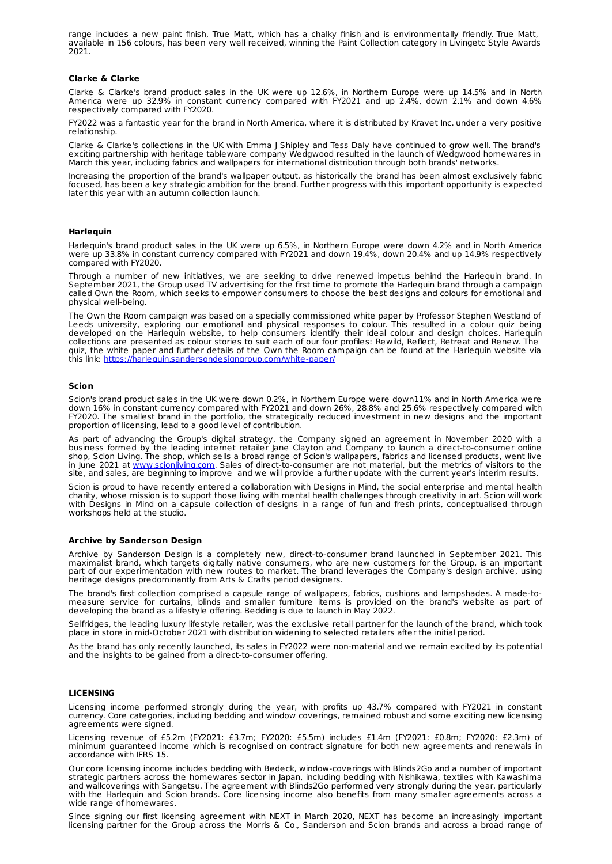range includes a new paint finish, True Matt, which has a chalky finish and is environmentally friendly. True Matt, available in 156 colours, has been very well received, winning the Paint Collection category in Livingetc Style Awards 2021.

#### **Clarke & Clarke**

Clarke & Clarke's brand product sales in the UK were up 12.6%, in Northern Europe were up 14.5% and in North America were up 32.9% in constant currency compared with FY2021 and up 2.4%, down 2.1% and down 4.6% respectively compared with FY2020.

FY2022 was a fantastic year for the brand in North America, where it is distributed by Kravet Inc. under a very positive relationship.

Clarke & Clarke's collections in the UK with Emma J Shipley and Tess Daly have continued to grow well. The brand's exciting partnership with heritage tableware company Wedgwood resulted in the launch of Wedgwood homewares in March this year, including fabrics and wallpapers for international distribution through both brands' networks.

Increasing the proportion of the brand's wallpaper output, as historically the brand has been almost exclusively fabric focused, has been a key strategic ambition for the brand. Further progress with this important opportunity is expected later this year with an autumn collection launch.

#### **Harlequin**

Harlequin's brand product sales in the UK were up 6.5%, in Northern Europe were down 4.2% and in North America were up 33.8% in constant currency compared with FY2021 and down 19.4%, down 20.4% and up 14.9% respectively compared with FY2020.

Through a number of new initiatives, we are seeking to drive renewed impetus behind the Harlequin brand. In September 2021, the Group used TV advertising for the first time to promote the Harlequin brand through a campaign called Own the Room, which seeks to empower consumers to choose the best designs and colours for emotional and physical well-being.

The Own the Room campaign was based on a specially commissioned white paper by Professor Stephen Westland of Leeds university, exploring our emotional and physical responses to colour. This resulted in a colour quiz being developed on the Harlequin website, to help consumers identify their ideal colour and design choices. Harlequin collections are presented as colour stories to suit each of our four profiles: Rewild, Reflect, Retreat and Renew. The quiz, the white paper and further details of the Own the Room campaign can be found at the Harlequin website via this link: <https://harlequin.sandersondesigngroup.com/white-paper/>

#### **Scion**

Scion's brand product sales in the UK were down 0.2%, in Northern Europe were down11% and in North America were down 16% in constant currency compared with FY2021 and down 26%, 28.8% and 25.6% respectively compared with FY2020. The smallest brand in the portfolio, the strategically reduced investment in new designs and the important proportion of licensing, lead to a good level of contribution.

As part of advancing the Group's digital strategy, the Company signed an agreement in November 2020 with a business formed by the leading internet retailer Jane Clayton and Company to launch a direct-to-consumer online shop, Scion Living. The shop, which sells a broad range of Scion's wallpapers, fabrics and licensed products, went live in June 2021 at <u>[www.scionliving.com](http://www.scionliving.com)</u>. Sales of direct-to-consumer are not material, but the metrics of visitors to the site, and sales, are beginning to improve and we will provide a further update with the current year's interim results.

Scion is proud to have recently entered a collaboration with Designs in Mind, the social enterprise and mental health charity, whose mission is to support those living with mental health challenges through creativity in art. Scion will work with Designs in Mind on a capsule collection of designs in a range of fun and fresh prints, conceptualised through workshops held at the studio.

#### **Archive by Sanderson Design**

Archive by Sanderson Design is a completely new, direct-to-consumer brand launched in September 2021. This maximalist brand, which targets digitally native consumers, who are new customers for the Group, is an important part of our experimentation with new routes to market. The brand leverages the Company's design archive, using heritage designs predominantly from Arts & Crafts period designers.

The brand's first collection comprised a capsule range of wallpapers, fabrics, cushions and lampshades. A made-to measure service for curtains, blinds and smaller furniture items is provided on the brand's website as part of developing the brand as a lifestyle offering. Bedding is due to launch in May 2022.

Selfridges, the leading luxury lifestyle retailer, was the exclusive retail partner for the launch of the brand, which took place in store in mid-October 2021 with distribution widening to selected retailers after the initial period.

As the brand has only recently launched, its sales in FY2022 were non-material and we remain excited by its potential and the insights to be gained from a direct-to-consumer offering.

#### **LICENSING**

Licensing income performed strongly during the year, with profits up 43.7% compared with FY2021 in constant currency. Core categories, including bedding and window coverings, remained robust and some exciting new licensing agreements were signed.

Licensing revenue of £5.2m (FY2021: £3.7m; FY2020: £5.5m) includes £1.4m (FY2021: £0.8m; FY2020: £2.3m) of minimum guaranteed income which is recognised on contract signature for both new agreements and renewals in accordance with IFRS 15.

Our core licensing income includes bedding with Bedeck, window-coverings with Blinds2Go and a number of important strategic partners across the homewares sector in Japan, including bedding with Nishikawa, textiles with Kawashima and wallcoverings with Sangetsu. The agreement with Blinds2Go performed very strongly during the year, particularly with the Harlequin and Scion brands. Core licensing income also benefits from many smaller agreements across a wide range of homewares.

Since signing our first licensing agreement with NEXT in March 2020, NEXT has become an increasingly important licensing partner for the Group across the Morris & Co., Sanderson and Scion brands and across a broad range of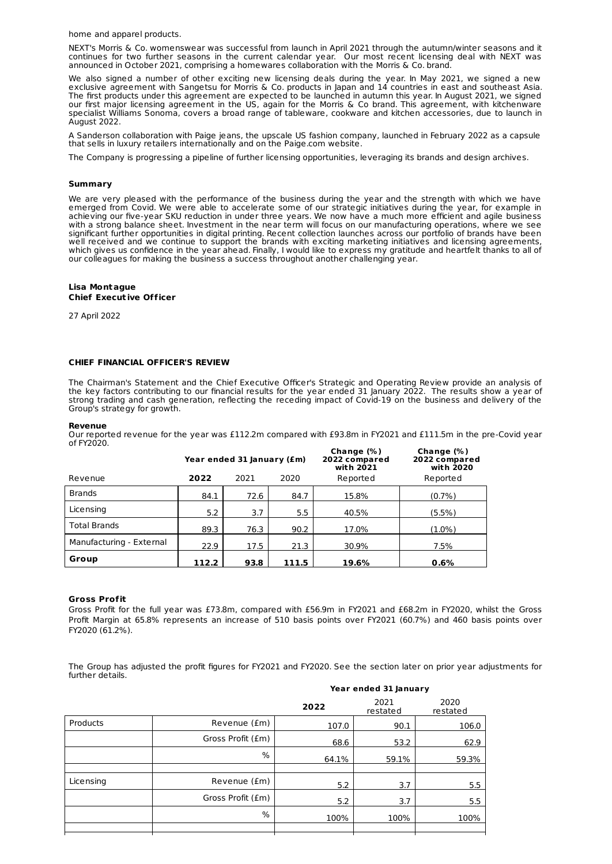home and apparel products.

NEXT's Morris & Co. womenswear was successful from launch in April 2021 through the autumn/winter seasons and it continues for two further seasons in the current calendar year. Our most recent licensing deal with NEXT was announced in October 2021, comprising a homewares collaboration with the Morris & Co. brand.

We also signed a number of other exciting new licensing deals during the year. In May 2021, we signed a new exclusive agreement with Sangetsu for Morris & Co. products in Japan and 14 countries in east and southeast Asia. The first products under this agreement are expected to be launched in autumn this year. In August 2021, we signed our first major licensing agreement in the US, again for the Morris & Co brand. This agreement, with kitchenware specialist Williams Sonoma, covers a broad range of tableware, cookware and kitchen accessories, due to launch in August 2022.

A Sanderson collaboration with Paige jeans, the upscale US fashion company, launched in February 2022 as a capsule that sells in luxury retailers internationally and on the Paige.com website.

The Company is progressing a pipeline of further licensing opportunities, leveraging its brands and design archives.

#### **Summary**

We are very pleased with the performance of the business during the year and the strength with which we have emerged from Covid. We were able to accelerate some of our strategic initiatives during the year, for example in achieving our five-year SKU reduction in under three years. We now have a much more efficient and agile business with a strong balance sheet. Investment in the near term will focus on our manufacturing operations, where we see significant further opportunities in digital printing. Recent collection launches across our portfolio of brands have been well received and we continue to support the brands with exciting marketing initiatives and licensing agreements, which gives us confidence in the year ahead. Finally, I would like to express my gratitude and heartfelt thanks to all of our colleagues for making the business a success throughout another challenging year.

#### **Lisa Montague Chief Execut ive Officer**

27 April 2022

#### **CHIEF FINANCIAL OFFICER'S REVIEW**

The Chairman's Statement and the Chief Executive Officer's Strategic and Operating Review provide an analysis of the key factors contributing to our financial results for the year ended 31 January 2022. The results show a year of strong trading and cash generation, reflecting the receding impact of Covid-19 on the business and delivery of the Group's strategy for growth.

#### **Revenue**

Our reported revenue for the year was £112.2m compared with £93.8m in FY2021 and £111.5m in the pre-Covid year of FY2020.

|                          | Year ended 31 January (£m) |      | Change $(\%)$<br>2022 compared<br>with 2021 | Change $(\%)$<br>2022 compared<br>with 2020 |           |
|--------------------------|----------------------------|------|---------------------------------------------|---------------------------------------------|-----------|
| Revenue                  | 2022                       | 2021 | 2020                                        | Reported                                    | Reported  |
| <b>Brands</b>            | 84.1                       | 72.6 | 84.7                                        | 15.8%                                       | $(0.7\%)$ |
| Licensing                | 5.2                        | 3.7  | 5.5                                         | 40.5%                                       | $(5.5\%)$ |
| <b>Total Brands</b>      | 89.3                       | 76.3 | 90.2                                        | 17.0%                                       | $(1.0\%)$ |
| Manufacturing - External | 22.9                       | 17.5 | 21.3                                        | 30.9%                                       | 7.5%      |
| Group                    | 112.2                      | 93.8 | 111.5                                       | 19.6%                                       | 0.6%      |

#### **Gross Profit**

Gross Profit for the full year was £73.8m, compared with £56.9m in FY2021 and £68.2m in FY2020, whilst the Gross Profit Margin at 65.8% represents an increase of 510 basis points over FY2021 (60.7%) and 460 basis points over FY2020 (61.2%).

The Group has adjusted the profit figures for FY2021 and FY2020. See the section later on prior year adjustments for further details.

|           |                   | Year ended 31 January |                  |                  |  |
|-----------|-------------------|-----------------------|------------------|------------------|--|
|           |                   | 2022                  | 2021<br>restated | 2020<br>restated |  |
| Products  | Revenue (£m)      | 107.0                 | 90.1             | 106.0            |  |
|           | Gross Profit (£m) | 68.6                  | 53.2             | 62.9             |  |
|           | %                 | 64.1%                 | 59.1%            | 59.3%            |  |
|           |                   |                       |                  |                  |  |
| Licensing | Revenue (£m)      | 5.2                   | 3.7              | 5.5              |  |
|           | Gross Profit (£m) | 5.2                   | 3.7              | 5.5              |  |
|           | %                 | 100%                  | 100%             | 100%             |  |
|           |                   |                       |                  |                  |  |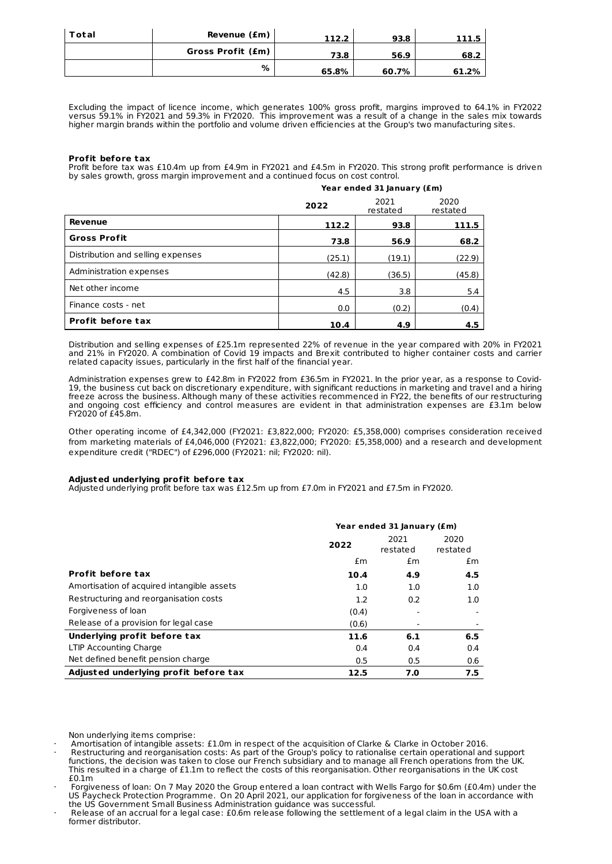| Total | Revenue (£m)      | 112.2 | 93.8  | 111.5 |
|-------|-------------------|-------|-------|-------|
|       | Gross Profit (£m) | 73.8  | 56.9  | 68.2  |
|       | %                 | 65.8% | 60.7% | 61.2% |

Excluding the impact of licence income, which generates 100% gross profit, margins improved to 64.1% in FY2022 versus 59.1% in FY2021 and 59.3% in FY2020. This improvement was a result of a change in the sales mix towards higher margin brands within the portfolio and volume driven efficiencies at the Group's two manufacturing sites.

#### **Profit before tax**

Profit before tax was £10.4m up from £4.9m in FY2021 and £4.5m in FY2020. This strong profit performance is driven by sales growth, gross margin improvement and a continued focus on cost control.

|                                   | Year ended 31 January (£m) |                  |                  |  |  |
|-----------------------------------|----------------------------|------------------|------------------|--|--|
|                                   | 2022                       | 2021<br>restated | 2020<br>restated |  |  |
| Revenue                           | 112.2                      | 93.8             | 111.5            |  |  |
| <b>Gross Profit</b>               | 73.8                       | 56.9             | 68.2             |  |  |
| Distribution and selling expenses | (25.1)                     | (19.1)           | (22.9)           |  |  |
| Administration expenses           | (42.8)                     | (36.5)           | (45.8)           |  |  |
| Net other income                  | 4.5                        | 3.8              | 5.4              |  |  |
| Finance costs - net               | 0.0                        | (0.2)            | (0.4)            |  |  |
| Profit before tax                 | 10.4                       | 4.9              | 4.5              |  |  |

Distribution and selling expenses of £25.1m represented 22% of revenue in the year compared with 20% in FY2021 and 21% in FY2020. A combination of Covid 19 impacts and Brexit contributed to higher container costs and carrier related capacity issues, particularly in the first half of the financial year.

Administration expenses grew to £42.8m in FY2022 from £36.5m in FY2021. In the prior year, as a response to Covid-19, the business cut back on discretionary expenditure, with significant reductions in marketing and travel and a hiring freeze across the business. Although many of these activities recommenced in FY22, the benefits of our restructuring and ongoing cost efficiency and control measures are evident in that administration expenses are £3.1m below  $FY2020$  of  $f45.8m$ .

Other operating income of £4,342,000 (FY2021: £3,822,000; FY2020: £5,358,000) comprises consideration received from marketing materials of £4,046,000 (FY2021: £3,822,000; FY2020: £5,358,000) and a research and development expenditure credit ("RDEC") of £296,000 (FY2021: nil; FY2020: nil).

#### **Adjusted underlying profit before tax**

Adjusted underlying profit before tax was £12.5m up from £7.0m in FY2021 and £7.5m in FY2020.

|                                            |               | Year ended 31 January (£m) |                  |  |  |  |  |
|--------------------------------------------|---------------|----------------------------|------------------|--|--|--|--|
|                                            | 2022          | 2021<br>restated           | 2020<br>restated |  |  |  |  |
|                                            | $\mathsf{fm}$ | $\mathsf{fm}$              | $\mathsf{fm}$    |  |  |  |  |
| <b>Profit before tax</b>                   | 10.4          | 4.9                        | 4.5              |  |  |  |  |
| Amortisation of acquired intangible assets | 1.0           | 1.0                        | 1.0              |  |  |  |  |
| Restructuring and reorganisation costs     | 1.2           | 0.2                        | 1.0              |  |  |  |  |
| Forgiveness of loan                        | (0.4)         |                            |                  |  |  |  |  |
| Release of a provision for legal case      | (0.6)         |                            |                  |  |  |  |  |
| Underlying profit before tax               | 11.6          | 6.1                        | 6.5              |  |  |  |  |
| LTIP Accounting Charge                     | 0.4           | 0.4                        | 0.4              |  |  |  |  |
| Net defined benefit pension charge         | 0.5           | 0.5                        | 0.6              |  |  |  |  |
| Adjusted underlying profit before tax      | 7.0<br>12.5   |                            |                  |  |  |  |  |

Non underlying items comprise:

· Amortisation of intangible assets: £1.0m in respect of the acquisition of Clarke & Clarke in October 2016.

· Restructuring and reorganisation costs: As part of the Group's policy to rationalise certain operational and support functions, the decision was taken to close our French subsidiary and to manage all French operations from the UK. This resulted in a charge of £1.1m to reflect the costs of this reorganisation. Other reorganisations in the UK cost £0.1m

· Forgiveness of loan: On 7 May 2020 the Group entered a loan contract with Wells Fargo for \$0.6m (£0.4m) under the US Paycheck Protection Programme. On 20 April 2021, our application for forgiveness of the loan in accordance with the US Government Small Business Administration guidance was successful.

· Release of an accrual for a legal case: £0.6m release following the settlement of a legal claim in the USA with a former distributor.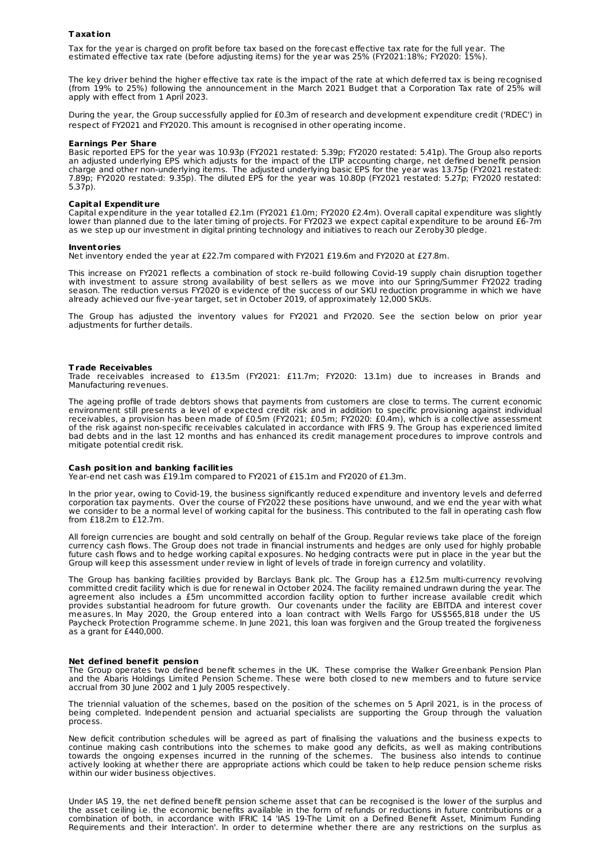#### **Taxat ion**

Tax for the year is charged on profit before tax based on the forecast effective tax rate for the full year. The estimated effective tax rate (before adjusting items) for the year was 25% (FY2021:18%; FY2020: 15%).

The key driver behind the higher effective tax rate is the impact of the rate at which deferred tax is being recognised (from 19% to 25%) following the announcement in the March 2021 Budget that a Corporation Tax rate of 25% will apply with effect from 1 April 2023.

During the year, the Group successfully applied for £0.3m of research and development expenditure credit ('RDEC') in respect of FY2021 and FY2020. This amount is recognised in other operating income.

#### **Earnings Per Share**

Basic reported EPS for the year was 10.93p (FY2021 restated: 5.39p; FY2020 restated: 5.41p). The Group also reports an adjusted underlying EPS which adjusts for the impact of the LTIP accounting charge, net defined benefit pension charge and other non-underlying items. The adjusted underlying basic EPS for the year was 13.75p (FY2021 restated: 7.89p; FY2020 restated: 9.35p). The diluted EPS for the year was 10.80p (FY2021 restated: 5.27p; FY2020 restated: 5.37p).

#### **Capital Expendit ure**

Capital expenditure in the year totalled £2.1m (FY2021 £1.0m; FY2020 £2.4m). Overall capital expenditure was slightly lower than planned due to the later timing of projects. For FY2023 we expect capital expenditure to be around £6-7m as we step up our investment in digital printing technology and initiatives to reach our Zeroby30 pledge.

#### **Inventories**

Net inventory ended the year at £22.7m compared with FY2021 £19.6m and FY2020 at £27.8m.

This increase on FY2021 reflects a combination of stock re-build following Covid-19 supply chain disruption together with investment to assure strong availability of best sellers as we move into our Spring/Summer FY2022 trading season. The reduction versus FY2020 is evidence of the success of our SKU reduction programme in which we have already achieved our five-year target, set in October 2019, of approximately 12,000 SKUs.

The Group has adjusted the inventory values for FY2021 and FY2020. See the section below on prior year adjustments for further details.

#### **Trade Receivables**

Trade receivables increased to £13.5m (FY2021: £11.7m; FY2020: 13.1m) due to increases in Brands and Manufacturing revenues.

The ageing profile of trade debtors shows that payments from customers are close to terms. The current economic environment still presents a level of expected credit risk and in addition to specific provisioning against individual receivables, a provision has been made of £0.5m (FY2021; £0.5m; FY2020: £0.4m), which is a collective assessment of the risk against non-specific receivables calculated in accordance with IFRS 9. The Group has experienced limited bad debts and in the last 12 months and has enhanced its credit management procedures to improve controls and mitigate potential credit risk.

#### **Cash posit ion and banking facilit ies**

Year-end net cash was £19.1m compared to FY2021 of £15.1m and FY2020 of £1.3m.

In the prior year, owing to Covid-19, the business significantly reduced expenditure and inventory levels and deferred corporation tax payments. Over the course of FY2022 these positions have unwound, and we end the year with what we consider to be a normal level of working capital for the business. This contributed to the fall in operating cash flow from £18.2m to £12.7m.

All foreign currencies are bought and sold centrally on behalf of the Group. Regular reviews take place of the foreign currency cash flows. The Group does not trade in financial instruments and hedges are only used for highly probable future cash flows and to hedge working capital exposures. No hedging contracts were put in place in the year but the Group will keep this assessment under review in light of levels of trade in foreign currency and volatility.

The Group has banking facilities provided by Barclays Bank plc. The Group has a £12.5m multi-currency revolving committed credit facility which is due for renewal in October 2024. The facility remained undrawn during the year. The agreement also includes a £5m uncommitted accordion facility option to further increase available credit which provides substantial headroom for future growth. Our covenants under the facility are EBITDA and interest cover measures. In May 2020, the Group entered into a loan contract with Wells Fargo for US\$565,818 under the US Paycheck Protection Programme scheme. In June 2021, this loan was forgiven and the Group treated the forgiveness as a grant for £440,000.

#### **Net defined benefit pension**

The Group operates two defined benefit schemes in the UK. These comprise the Walker Greenbank Pension Plan and the Abaris Holdings Limited Pension Scheme. These were both closed to new members and to future service accrual from 30 June 2002 and 1 July 2005 respectively.

The triennial valuation of the schemes, based on the position of the schemes on 5 April 2021, is in the process of being completed. Independent pension and actuarial specialists are supporting the Group through the valuation process.

New deficit contribution schedules will be agreed as part of finalising the valuations and the business expects to continue making cash contributions into the schemes to make good any deficits, as well as making contributions towards the ongoing expenses incurred in the running of the schemes. The business also intends to continue actively looking at whether there are appropriate actions which could be taken to help reduce pension scheme risks within our wider business objectives.

Under IAS 19, the net defined benefit pension scheme asset that can be recognised is the lower of the surplus and the asset ceiling i.e. the economic benefits available in the form of refunds or reductions in future contributions or a combination of both, in accordance with IFRIC 14 'IAS 19-The Limit on a Defined Benefit Asset, Minimum Funding Requirements and their Interaction'. In order to determine whether there are any restrictions on the surplus as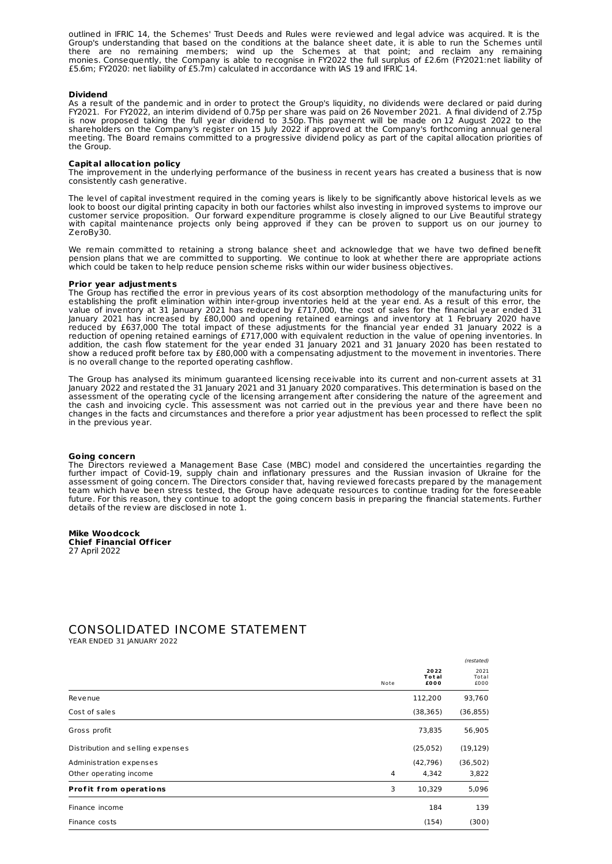outlined in IFRIC 14, the Schemes' Trust Deeds and Rules were reviewed and legal advice was acquired. It is the Group's understanding that based on the conditions at the balance sheet date, it is able to run the Schemes until there are no remaining members; wind up the Schemes at that point; and reclaim any remaining monies. Consequently, the Company is able to recognise in FY2022 the full surplus of £2.6m (FY2021:net liability of £5.6m; FY2020: net liability of £5.7m) calculated in accordance with IAS 19 and IFRIC 14.

#### **Dividend**

As a result of the pandemic and in order to protect the Group's liquidity, no dividends were declared or paid during FY2021. For FY2022, an interim dividend of 0.75p per share was paid on 26 November 2021. A final dividend of 2.75p is now proposed taking the full year dividend to 3.50p. This payment will be made on 12 August 2022 to the shareholders on the Company's register on 15 July 2022 if approved at the Company's forthcoming annual general meeting. The Board remains committed to a progressive dividend policy as part of the capital allocation priorities of the Group.

#### **Capital allocat ion policy**

The improvement in the underlying performance of the business in recent years has created a business that is now consistently cash generative.

The level of capital investment required in the coming years is likely to be significantly above historical levels as we look to boost our digital printing capacity in both our factories whilst also investing in improved systems to improve our customer service proposition. Our forward expenditure programme is closely aligned to our Live Beautiful strategy with capital maintenance projects only being approved if they can be proven to support us on our journey to ZeroBy30.

We remain committed to retaining a strong balance sheet and acknowledge that we have two defined benefit pension plans that we are committed to supporting. We continue to look at whether there are appropriate actions which could be taken to help reduce pension scheme risks within our wider business objectives.

#### **Prior year adjustments**

The Group has rectified the error in previous years of its cost absorption methodology of the manufacturing units for establishing the profit elimination within inter-group inventories held at the year end. As a result of this error, the value of inventory at 31 January 2021 has reduced by £717,000, the cost of sales for the financial year ended 31 January 2021 has increased by £80,000 and opening retained earnings and inventory at 1 February 2020 have reduced by £637,000 The total impact of these adjustments for the financial year ended 31 January 2022 is a reduction of opening retained earnings of £717,000 with equivalent reduction in the value of opening inventories. In addition, the cash flow statement for the year ended 31 January 2021 and 31 January 2020 has been restated to show a reduced profit before tax by £80,000 with a compensating adjustment to the movement in inventories. There is no overall change to the reported operating cashflow.

The Group has analysed its minimum guaranteed licensing receivable into its current and non-current assets at 31 January 2022 and restated the 31 January 2021 and 31 January 2020 comparatives. This determination is based on the assessment of the operating cycle of the licensing arrangement after considering the nature of the agreement and the cash and invoicing cycle. This assessment was not carried out in the previous year and there have been no changes in the facts and circumstances and therefore a prior year adjustment has been processed to reflect the split in the previous year.

#### **Going concern**

The Directors reviewed a Management Base Case (MBC) model and considered the uncertainties regarding the further impact of Covid-19, supply chain and inflationary pressures and the Russian invasion of Ukraine for the assessment of going concern. The Directors consider that, having reviewed forecasts prepared by the management team which have been stress tested, the Group have adequate resources to continue trading for the foreseeable future. For this reason, they continue to adopt the going concern basis in preparing the financial statements. Further details of the review are disclosed in note 1.

#### **Mike Woodcock**

**Chief Financial Officer** 27 April 2022

# CONSOLIDATED INCOME STATEMENT

YEAR ENDED 31 JANUARY 2022

|                                   |      |                       | (restated)            |
|-----------------------------------|------|-----------------------|-----------------------|
|                                   | Note | 2022<br>Total<br>£000 | 2021<br>Total<br>£000 |
| Revenue                           |      | 112,200               | 93,760                |
| Cost of sales                     |      | (38, 365)             | (36, 855)             |
| Gross profit                      |      | 73,835                | 56,905                |
| Distribution and selling expenses |      | (25,052)              | (19, 129)             |
| Administration expenses           |      | (42, 796)             | (36, 502)             |
| Other operating income            | 4    | 4,342                 | 3,822                 |
| <b>Profit from operations</b>     | 3    | 10,329                | 5,096                 |
| Finance income                    |      | 184                   | 139                   |
| Finance costs                     |      | (154)                 | (300)                 |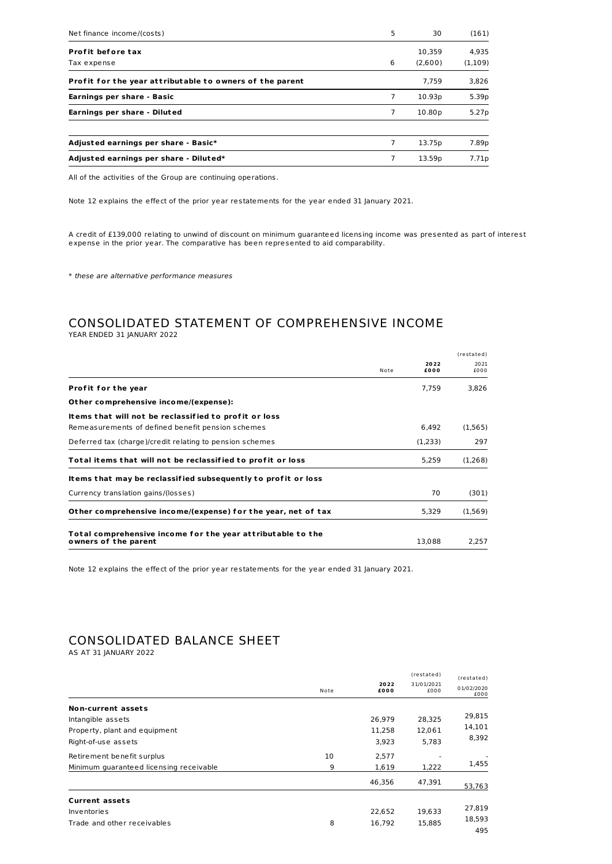| Net finance income/(costs)                               | 5 | 30                 | (161)   |
|----------------------------------------------------------|---|--------------------|---------|
| Profit before tax                                        |   | 10.359             | 4,935   |
| Tax expense                                              | 6 | (2,600)            | (1,109) |
| Profit for the year attributable to owners of the parent |   | 7.759              | 3,826   |
| Earnings per share - Basic                               | 7 | 10.93p             | 5.39p   |
| Earnings per share - Diluted                             | 7 | 10.80 <sub>p</sub> | 5.27p   |
| Adjusted earnings per share - Basic*                     | 7 | 13.75p             | 7.89p   |
| Adjusted earnings per share - Diluted*                   | 7 | 13.59p             | 7.71p   |

All of the activities of the Group are continuing operations.

Note 12 explains the effect of the prior year restatements for the year ended 31 January 2021.

A credit of £139,000 relating to unwind of discount on minimum guaranteed licensing income was presented as part of interest expense in the prior year. The comparative has been represented to aid comparability.

\* these are alternative performance measures

# CONSOLIDATED STATEMENT OF COMPREHENSIVE INCOME YEAR ENDED 31 JANUARY 2022

|                                                                                     |      |              | (restated)   |
|-------------------------------------------------------------------------------------|------|--------------|--------------|
|                                                                                     | Note | 2022<br>£000 | 2021<br>f000 |
| <b>Profit for the year</b>                                                          |      | 7.759        | 3,826        |
| Other comprehensive income/(expense):                                               |      |              |              |
| Items that will not be reclassified to profit or loss                               |      |              |              |
| Remeasurements of defined benefit pension schemes                                   |      | 6.492        | (1,565)      |
| Deferred tax (charge)/credit relating to pension schemes                            |      | (1,233)      | 297          |
| Total items that will not be reclassified to profit or loss                         |      | 5,259        | (1,268)      |
| Items that may be reclassified subsequently to profit or loss                       |      |              |              |
| Currency translation gains/(losses)                                                 |      | 70           | (301)        |
| Other comprehensive income/(expense) for the year, net of tax                       |      | 5,329        | (1,569)      |
| Total comprehensive income for the year attributable to the<br>owners of the parent |      | 13.088       | 2.257        |

Note 12 explains the effect of the prior year restatements for the year ended 31 January 2021.

# CONSOLIDATED BALANCE SHEET

AS AT 31 JANUARY 2022

|                                                                                                 | Note    | 2022<br>£000              | (restated)<br>31/01/2021<br>£000 | (restated)<br>01/02/2020<br>£000 |
|-------------------------------------------------------------------------------------------------|---------|---------------------------|----------------------------------|----------------------------------|
| Non-current assets<br>Intangible assets<br>Property, plant and equipment<br>Right-of-use assets |         | 26.979<br>11,258<br>3,923 | 28,325<br>12,061<br>5,783        | 29,815<br>14,101<br>8,392        |
| Retirement benefit surplus<br>Minimum quaranteed licensing receivable                           | 10<br>9 | 2,577<br>1,619            | 1,222                            | 1,455                            |
|                                                                                                 |         | 46,356                    | 47,391                           | 53,763                           |
| <b>Current assets</b><br>Inventories<br>Trade and other receivables                             | 8       | 22.652<br>16,792          | 19,633<br>15,885                 | 27,819<br>18,593<br>495          |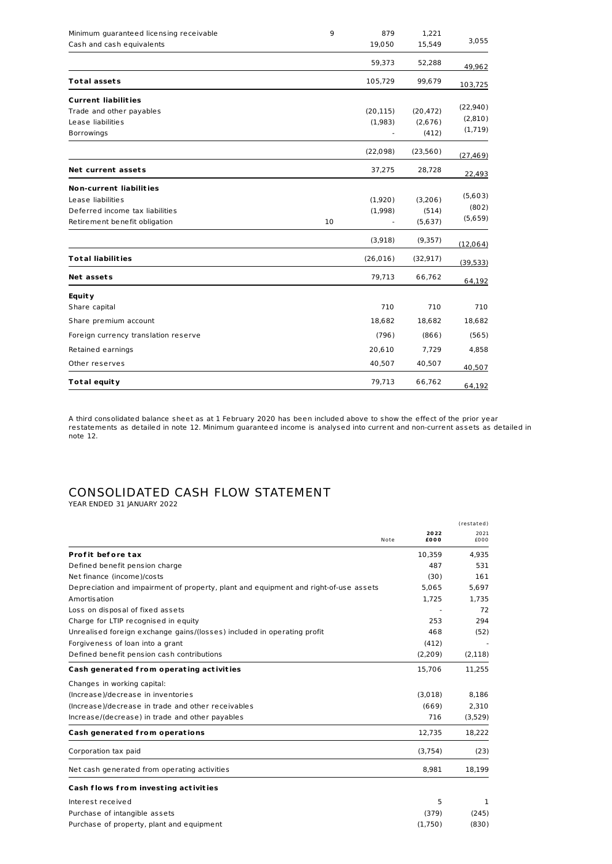| Minimum guaranteed licensing receivable<br>Cash and cash equivalents | 9  | 879<br>19,050 | 1,221<br>15,549 | 3,055     |
|----------------------------------------------------------------------|----|---------------|-----------------|-----------|
|                                                                      |    | 59,373        | 52,288          | 49,962    |
| <b>Total assets</b>                                                  |    | 105,729       | 99,679          | 103,725   |
| <b>Current liabilities</b>                                           |    |               |                 |           |
| Trade and other payables                                             |    | (20, 115)     | (20, 472)       | (22, 940) |
| Lease liabilities                                                    |    | (1,983)       | (2,676)         | (2,810)   |
| Borrowings                                                           |    |               | (412)           | (1,719)   |
|                                                                      |    | (22,098)      | (23,560)        | (27, 469) |
| Net current assets                                                   |    | 37,275        | 28,728          | 22,493    |
| <b>Non-current liabilities</b>                                       |    |               |                 |           |
| Lease liabilities                                                    |    | (1,920)       | (3,206)         | (5,603)   |
| Deferred income tax liabilities                                      |    | (1,998)       | (514)           | (802)     |
| Retirement benefit obligation                                        | 10 |               | (5,637)         | (5,659)   |
|                                                                      |    | (3,918)       | (9,357)         | (12,064)  |
| <b>Total liabilities</b>                                             |    | (26, 016)     | (32, 917)       | (39, 533) |
| <b>Net assets</b>                                                    |    | 79,713        | 66,762          | 64,192    |
| <b>Equity</b>                                                        |    |               |                 |           |
| Share capital                                                        |    | 710           | 710             | 710       |
| Share premium account                                                |    | 18,682        | 18,682          | 18,682    |
| Foreign currency translation reserve                                 |    | (796)         | (866)           | (565)     |
| Retained earnings                                                    |    | 20,610        | 7,729           | 4,858     |
| Other reserves                                                       |    | 40,507        | 40,507          | 40,507    |
| <b>Total equity</b>                                                  |    | 79,713        | 66,762          | 64,192    |

A third consolidated balance sheet as at 1 February 2020 has been included above to show the effect of the prior year restatements as detailed in note 12. Minimum guaranteed income is analysed into current and non-current assets as detailed in note 12.

# CONSOLIDATED CASH FLOW STATEMENT

YEAR ENDED 31 JANUARY 2022

|                                                                                      | 2022<br>£000<br>Note | (restated)<br>2021<br>£000 |
|--------------------------------------------------------------------------------------|----------------------|----------------------------|
| Profit before tax                                                                    | 10.359               | 4.935                      |
| Defined benefit pension charge                                                       |                      | 487<br>531                 |
| Net finance (income)/costs                                                           | (30)                 | 161                        |
| Depreciation and impairment of property, plant and equipment and right-of-use assets | 5,065                | 5.697                      |
| Amortisation                                                                         | 1,725                | 1,735                      |
| Loss on disposal of fixed assets                                                     |                      | 72                         |
| Charge for LTIP recognised in equity                                                 |                      | 253<br>294                 |
| Unrealised foreign exchange gains/(losses) included in operating profit              |                      | 468<br>(52)                |
| Forgiveness of loan into a grant                                                     | (412)                |                            |
| Defined benefit pension cash contributions                                           | (2,209)              | (2, 118)                   |
| Cash generated from operating activities                                             | 15,706               | 11,255                     |
| Changes in working capital:                                                          |                      |                            |
| (Increase)/decrease in inventories                                                   | (3,018)              | 8,186                      |
| (Increase)/decrease in trade and other receivables                                   | (669)                | 2.310                      |
| Increase/(decrease) in trade and other payables                                      | 716                  | (3,529)                    |
| Cash generated from operations                                                       | 12,735               | 18,222                     |
| Corporation tax paid                                                                 | (3,754)              | (23)                       |
| Net cash generated from operating activities                                         | 8,981                | 18,199                     |
| Cash flows from investing activities                                                 |                      |                            |
| Interest received                                                                    |                      | 5<br>1                     |
| Purchase of intangible assets                                                        | (379)                | (245)                      |
| Purchase of property, plant and equipment                                            | (1,750)              | (830)                      |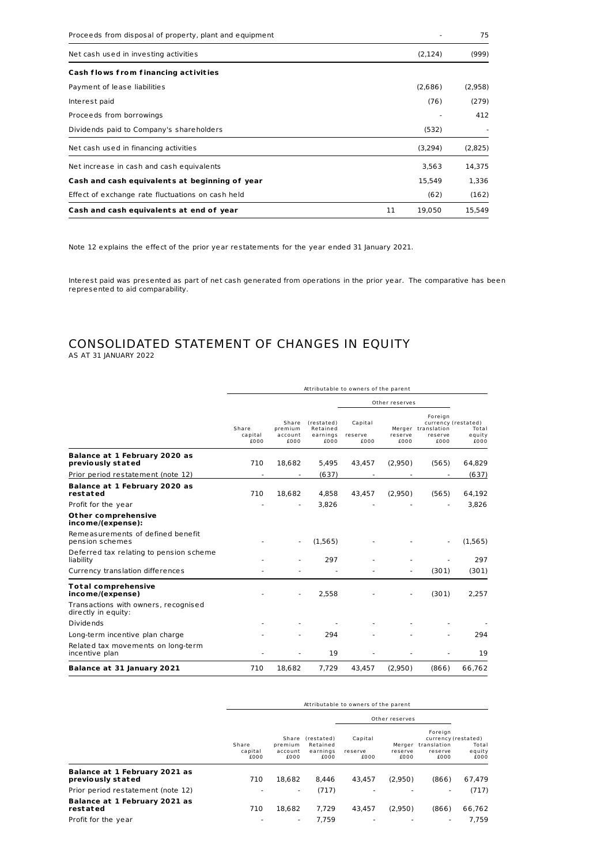| Proceeds from disposal of property, plant and equipment |              | 75      |
|---------------------------------------------------------|--------------|---------|
| Net cash used in investing activities                   | (2, 124)     | (999)   |
| Cash flows from financing activities                    |              |         |
| Payment of lease liabilities                            | (2,686)      | (2,958) |
| Interest paid                                           | (76)         | (279)   |
| Proceeds from borrowings                                |              | 412     |
| Dividends paid to Company's shareholders                | (532)        |         |
| Net cash used in financing activities                   | (3,294)      | (2,825) |
| Net increase in cash and cash equivalents               | 3,563        | 14,375  |
| Cash and cash equivalents at beginning of year          | 15.549       | 1.336   |
| Effect of exchange rate fluctuations on cash held       | (62)         | (162)   |
| Cash and cash equivalents at end of year                | 11<br>19,050 | 15,549  |

Note 12 explains the effect of the prior year restatements for the year ended 31 January 2021.

Interest paid was presented as part of net cash generated from operations in the prior year. The comparative has been represented to aid comparability.

# CONSOLIDATED STATEMENT OF CHANGES IN EQUITY AS AT 31 JANUARY 2022

|                                                             | Attributable to owners of the parent |                                     |                                            |                            |                 |                                                  |                                                |
|-------------------------------------------------------------|--------------------------------------|-------------------------------------|--------------------------------------------|----------------------------|-----------------|--------------------------------------------------|------------------------------------------------|
|                                                             |                                      |                                     |                                            | Other reserves             |                 |                                                  |                                                |
|                                                             | Share<br>capital<br>£000             | Share<br>premium<br>account<br>£000 | (restated)<br>Retained<br>earnings<br>£000 | Capital<br>reserve<br>£000 | reserve<br>£000 | Foreign<br>Merger translation<br>reserve<br>£000 | currency (restated)<br>Total<br>equity<br>£000 |
| Balance at 1 February 2020 as<br>previously stated          | 710                                  | 18.682                              | 5.495                                      | 43.457                     | (2,950)         | (565)                                            | 64,829                                         |
| Prior period restatement (note 12)                          |                                      |                                     | (637)                                      |                            |                 |                                                  | (637)                                          |
| <b>Balance at 1 February 2020 as</b><br>restated            | 710                                  | 18,682                              | 4.858                                      | 43,457                     | (2,950)         | (565)                                            | 64,192                                         |
| Profit for the year                                         |                                      |                                     | 3.826                                      |                            |                 |                                                  | 3.826                                          |
| Other comprehensive<br>income/(expense):                    |                                      |                                     |                                            |                            |                 |                                                  |                                                |
| Remeasurements of defined benefit<br>pension schemes        |                                      |                                     | (1.565)                                    |                            |                 |                                                  | (1, 565)                                       |
| Deferred tax relating to pension scheme<br>liability        |                                      |                                     | 297                                        |                            |                 |                                                  | 297                                            |
| Currency translation differences                            |                                      |                                     |                                            |                            |                 | (301)                                            | (301)                                          |
| <b>Total comprehensive</b><br>income/(expense)              |                                      |                                     | 2,558                                      |                            |                 | (301)                                            | 2.257                                          |
| Transactions with owners, recognised<br>directly in equity: |                                      |                                     |                                            |                            |                 |                                                  |                                                |
| <b>Dividends</b>                                            |                                      |                                     |                                            |                            |                 |                                                  |                                                |
| Long-term incentive plan charge                             |                                      |                                     | 294                                        |                            |                 |                                                  | 294                                            |
| Related tax movements on long-term<br>incentive plan        |                                      |                                     | 19                                         |                            |                 |                                                  | 19                                             |
| Balance at 31 January 2021                                  | 710                                  | 18,682                              | 7,729                                      | 43.457                     | (2,950)         | (866)                                            | 66,762                                         |

|                                                    | Attributable to owners of the parent |                                     |                                            |                            |                 |                                                                         |                         |
|----------------------------------------------------|--------------------------------------|-------------------------------------|--------------------------------------------|----------------------------|-----------------|-------------------------------------------------------------------------|-------------------------|
|                                                    |                                      |                                     |                                            |                            | Other reserves  |                                                                         |                         |
|                                                    | Share<br>capital<br>£000             | Share<br>premium<br>account<br>£000 | (restated)<br>Retained<br>earnings<br>£000 | Capital<br>reserve<br>£000 | reserve<br>£000 | Foreign<br>currency (restated)<br>Merger translation<br>reserve<br>£000 | Total<br>equity<br>£000 |
| Balance at 1 February 2021 as<br>previously stated | 710                                  | 18.682                              | 8.446                                      | 43.457                     | (2,950)         | (866)                                                                   | 67.479                  |
| Prior period restatement (note 12)                 | ۰                                    | ٠                                   | (717)                                      | ٠                          |                 | ٠                                                                       | (717)                   |
| Balance at 1 February 2021 as<br>restated          | 710                                  | 18.682                              | 7.729                                      | 43.457                     | (2.950)         | (866)                                                                   | 66.762                  |
| Profit for the year                                |                                      | ٠                                   | 7.759                                      |                            |                 | ٠                                                                       | 7.759                   |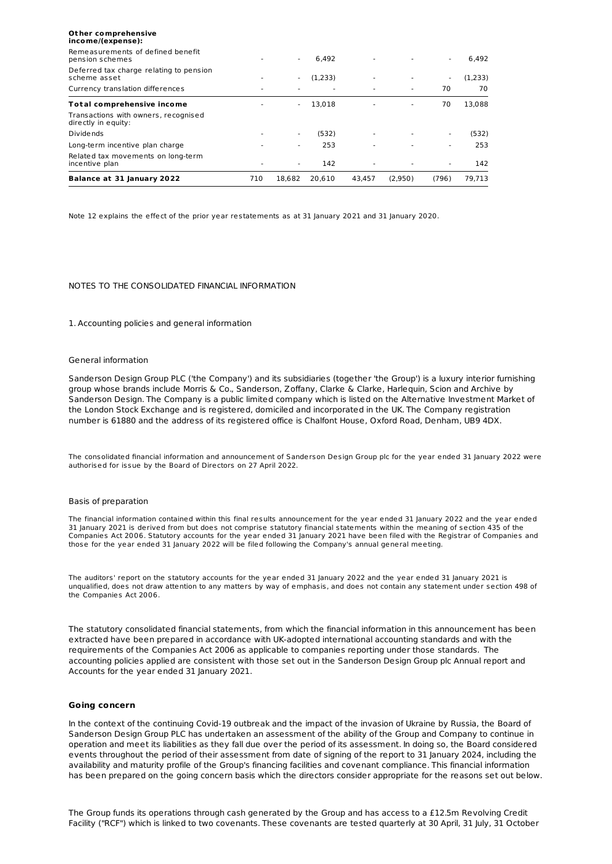| <b>Balance at 31 January 2022</b>                           | 710 | 18.682 | 20.610  | 43.457 | (2.950) | (796) | 79,713  |
|-------------------------------------------------------------|-----|--------|---------|--------|---------|-------|---------|
| Related tax movements on long-term<br>incentive plan        |     | ۰      | 142     |        |         |       | 142     |
| Long-term incentive plan charge                             |     |        | 253     |        |         |       | 253     |
| <b>Dividends</b>                                            |     |        | (532)   | ٠      |         | ٠     | (532)   |
| Transactions with owners, recognised<br>directly in equity: |     |        |         |        |         |       |         |
| Total comprehensive income                                  |     |        | 13.018  |        |         | 70    | 13,088  |
| Currency translation differences                            |     |        |         |        |         | 70    | 70      |
| Deferred tax charge relating to pension<br>scheme asset     |     | ۰.     | (1,233) |        |         | ٠     | (1,233) |
| Remeasurements of defined benefit<br>pension schemes        |     |        | 6.492   |        |         | ٠     | 6,492   |
| Other comprehensive<br>income/(expense):                    |     |        |         |        |         |       |         |

Note 12 explains the effect of the prior year restatements as at 31 January 2021 and 31 January 2020.

### NOTES TO THE CONSOLIDATED FINANCIAL INFORMATION

#### 1. Accounting policies and general information

#### General information

Sanderson Design Group PLC ('the Company') and its subsidiaries (together 'the Group') is a luxury interior furnishing group whose brands include Morris & Co., Sanderson, Zoffany, Clarke & Clarke, Harlequin, Scion and Archive by Sanderson Design. The Company is a public limited company which is listed on the Alternative Investment Market of the London Stock Exchange and is registered, domiciled and incorporated in the UK. The Company registration number is 61880 and the address of its registered office is Chalfont House, Oxford Road, Denham, UB9 4DX.

The consolidated financial information and announcement of Sanderson Design Group plc for the year ended 31 January 2022 were authorised for issue by the Board of Directors on 27 April 2022.

#### Basis of preparation

The financial information contained within this final results announcement for the year ended 31 January 2022 and the year ended 31 January 2021 is derived from but does not comprise statutory financial statements within the meaning of section 435 of the Companies Act 2006. Statutory accounts for the year ended 31 January 2021 have been filed with the Registrar of Companies and those for the year ended 31 January 2022 will be filed following the Company's annual general meeting.

The auditors' report on the statutory accounts for the year ended 31 January 2022 and the year ended 31 January 2021 is unqualified, does not draw attention to any matters by way of emphasis, and does not contain any statement under section 498 of the Companies Act 2006.

The statutory consolidated financial statements, from which the financial information in this announcement has been extracted have been prepared in accordance with UK-adopted international accounting standards and with the requirements of the Companies Act 2006 as applicable to companies reporting under those standards. The accounting policies applied are consistent with those set out in the Sanderson Design Group plc Annual report and Accounts for the year ended 31 January 2021.

#### **Going concern**

In the context of the continuing Covid-19 outbreak and the impact of the invasion of Ukraine by Russia, the Board of Sanderson Design Group PLC has undertaken an assessment of the ability of the Group and Company to continue in operation and meet its liabilities as they fall due over the period of its assessment. In doing so, the Board considered events throughout the period of their assessment from date of signing of the report to 31 January 2024, including the availability and maturity profile of the Group's financing facilities and covenant compliance. This financial information has been prepared on the going concern basis which the directors consider appropriate for the reasons set out below.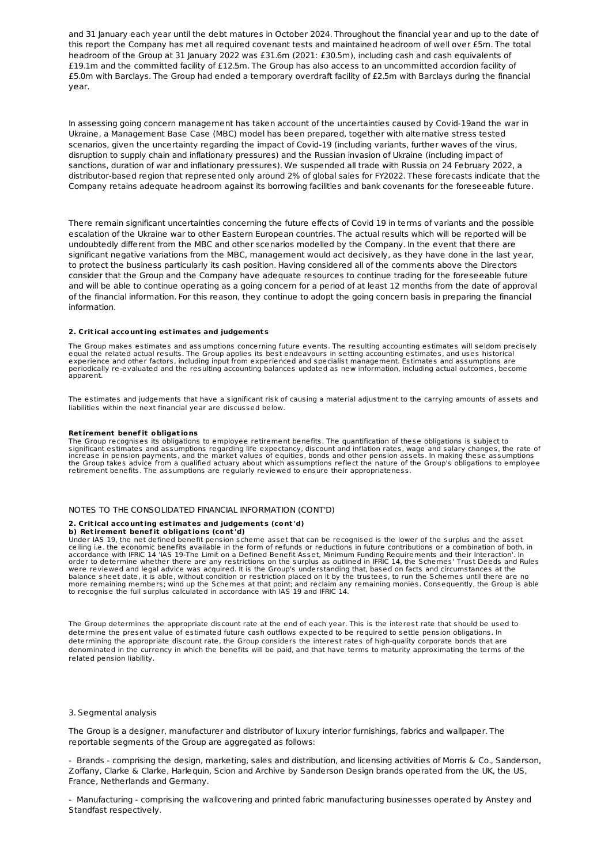and 31 January each year until the debt matures in October 2024. Throughout the financial year and up to the date of this report the Company has met all required covenant tests and maintained headroom of well over £5m. The total headroom of the Group at 31 January 2022 was £31.6m (2021: £30.5m), including cash and cash equivalents of £19.1m and the committed facility of £12.5m. The Group has also access to an uncommitted accordion facility of £5.0m with Barclays. The Group had ended a temporary overdraft facility of £2.5m with Barclays during the financial year.

In assessing going concern management has taken account of the uncertainties caused by Covid-19and the war in Ukraine, a Management Base Case (MBC) model has been prepared, together with alternative stress tested scenarios, given the uncertainty regarding the impact of Covid-19 (including variants, further waves of the virus, disruption to supply chain and inflationary pressures) and the Russian invasion of Ukraine (including impact of sanctions, duration of war and inflationary pressures). We suspended all trade with Russia on 24 February 2022, a distributor-based region that represented only around 2% of global sales for FY2022. These forecasts indicate that the Company retains adequate headroom against its borrowing facilities and bank covenants for the foreseeable future.

There remain significant uncertainties concerning the future effects of Covid 19 in terms of variants and the possible escalation of the Ukraine war to other Eastern European countries. The actual results which will be reported will be undoubtedly different from the MBC and other scenarios modelled by the Company. In the event that there are significant negative variations from the MBC, management would act decisively, as they have done in the last year, to protect the business particularly its cash position. Having considered all of the comments above the Directors consider that the Group and the Company have adequate resources to continue trading for the foreseeable future and will be able to continue operating as a going concern for a period of at least 12 months from the date of approval of the financial information. For this reason, they continue to adopt the going concern basis in preparing the financial information.

#### **2. Crit ical account ing est imates and judgement s**

The Group makes estimates and assumptions concerning future events. The resulting accounting estimates will seldom precisely equal the related actual results. The Group applies its best endeavours in setting accounting estimates, and uses historical experience and other factors, including input from experienced and specialist management. Estimates and assumptions are<br>periodically re-evaluated and the resulting accounting balances updated as new information, including apparent.

The estimates and judgements that have a significant risk of causing a material adjustment to the carrying amounts of assets and liabilities within the next financial year are discussed below.

#### **Ret irement benef it obligat ions**

The Group recognises its obligations to employee retirement benefits. The quantification of these obligations is subject to significant estimates and assumptions regarding life expectancy, discount and inflation rates, wage and salary changes, the rate of increase in pension payments, and the market values of equities, bonds and other pension assets. In making these assumptions the Group takes advice from a qualified actuary about which assumptions reflect the nature of the Group's obligations to employee retirement benefits. The assumptions are regularly reviewed to ensure their appropriateness.

### NOTES TO THE CONSOLIDATED FINANCIAL INFORMATION (CONT'D)

#### **2. Crit ical account ing est imates and judgement s (cont 'd)**

#### **b) Ret irement benef it obligat ions (cont 'd)**

Under IAS 19, the net defined benefit pension scheme asset that can be recognised is the lower of the surplus and the asset<br>ceiling i.e. the economic benefits available in the form of refunds or reductions in future contri accordance with IFRIC 14 'IAS 19-The Limit on a Defined Benefit Asset, Minimum Funding Requirements and their Interaction'. In<br>order to determine whether there are any restrictions on the surplus as outlined in IFRIC 14, t were reviewed and legal advice was acquired. It is the Group's understanding that, based on facts and circumstances at the<br>balance sheet date, it is able, without condition or restriction placed on it by the trustees, to r to recognise the full surplus calculated in accordance with IAS 19 and IFRIC 14.

The Group determines the appropriate discount rate at the end of each year. This is the interest rate that should be used to determine the present value of estimated future cash outflows expected to be required to settle pension obligations. In determining the appropriate discount rate, the Group considers the interest rates of high-quality corporate bonds that are denominated in the currency in which the benefits will be paid, and that have terms to maturity approximating the terms of the related pension liability.

#### 3. Segmental analysis

The Group is a designer, manufacturer and distributor of luxury interior furnishings, fabrics and wallpaper. The reportable segments of the Group are aggregated as follows:

- Brands - comprising the design, marketing, sales and distribution, and licensing activities of Morris & Co., Sanderson, Zoffany, Clarke & Clarke, Harlequin, Scion and Archive by Sanderson Design brands operated from the UK, the US, France, Netherlands and Germany.

- Manufacturing - comprising the wallcovering and printed fabric manufacturing businesses operated by Anstey and Standfast respectively.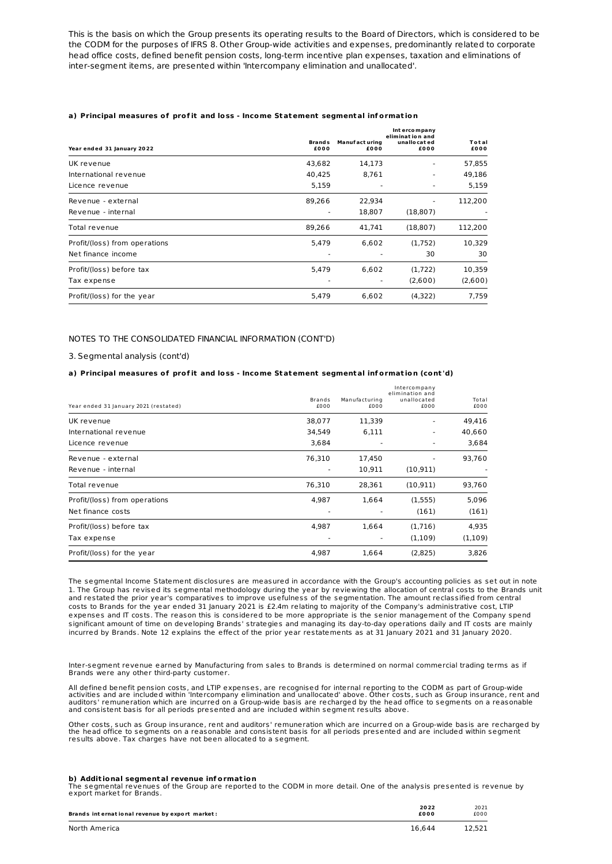This is the basis on which the Group presents its operating results to the Board of Directors, which is considered to be the CODM for the purposes of IFRS 8. Other Group-wide activities and expenses, predominantly related to corporate head office costs, defined benefit pension costs, long-term incentive plan expenses, taxation and eliminations of inter-segment items, are presented within 'Intercompany elimination and unallocated'.

#### **a) Principal measures of prof it and loss - Income Statement segmental inf ormat ion**

| Year ended 31 January 2022    | <b>Brands</b><br>£000 | <b>Manufact uring</b><br>£000 | Intercompany<br>elimination and<br>unallo cat ed<br>£000 | Total<br>£000 |
|-------------------------------|-----------------------|-------------------------------|----------------------------------------------------------|---------------|
| UK revenue                    | 43,682                | 14,173                        |                                                          | 57,855        |
| International revenue         | 40.425                | 8,761                         |                                                          | 49,186        |
| Licence revenue               | 5,159                 |                               |                                                          | 5,159         |
| Revenue - external            | 89,266                | 22,934                        |                                                          | 112,200       |
| Revenue - internal            |                       | 18,807                        | (18, 807)                                                |               |
| Total revenue                 | 89,266                | 41,741                        | (18, 807)                                                | 112,200       |
| Profit/(loss) from operations | 5,479                 | 6,602                         | (1,752)                                                  | 10,329        |
| Net finance income            |                       |                               | 30                                                       | 30            |
| Profit/(loss) before tax      | 5,479                 | 6,602                         | (1,722)                                                  | 10,359        |
| Tax expense                   |                       |                               | (2,600)                                                  | (2,600)       |
| Profit/(loss) for the year    | 5,479                 | 6,602                         | (4,322)                                                  | 7,759         |

#### NOTES TO THE CONSOLIDATED FINANCIAL INFORMATION (CONT'D)

3. Segmental analysis (cont'd)

#### **a) Principal measures of prof it and loss - Income Statement segmental inf ormat ion (cont 'd)**

| Year ended 31 January 2021 (restated) | <b>Brands</b><br>£000 | Manufacturing<br>£000 | Intercompany<br>elimination and<br>unallocated<br>£000 | Total<br>£000 |
|---------------------------------------|-----------------------|-----------------------|--------------------------------------------------------|---------------|
| UK revenue                            | 38,077                | 11,339                |                                                        | 49,416        |
| International revenue                 | 34,549                | 6,111                 |                                                        | 40,660        |
| Licence revenue                       | 3,684                 |                       |                                                        | 3,684         |
| Revenue - external                    | 76,310                | 17,450                |                                                        | 93,760        |
| Revenue - internal                    |                       | 10,911                | (10, 911)                                              |               |
| Total revenue                         | 76,310                | 28,361                | (10, 911)                                              | 93,760        |
| Profit/(loss) from operations         | 4,987                 | 1,664                 | (1,555)                                                | 5,096         |
| Net finance costs                     |                       |                       | (161)                                                  | (161)         |
| Profit/(loss) before tax              | 4,987                 | 1,664                 | (1,716)                                                | 4,935         |
| Tax expense                           |                       |                       | (1,109)                                                | (1,109)       |
| Profit/(loss) for the year            | 4,987                 | 1.664                 | (2,825)                                                | 3,826         |

The segmental Income Statement disclosures are measured in accordance with the Group's accounting policies as set out in note 1. The Group has revised its segmental methodology during the year by reviewing the allocation of central costs to the Brands unit and restated the prior year's comparatives to improve usefulness of the segmentation. The amount reclassified from central costs to Brands for the year ended 31 January 2021 is £2.4m relating to majority of the Company's administrative cost, LTIP expenses and IT costs. The reason this is considered to be more appropriate is the senior management of the Company spend significant amount of time on developing Brands' strategies and managing its day-to-day operations daily and IT costs are mainly incurred by Brands. Note 12 explains the effect of the prior year restatements as at 31 January 2021 and 31 January 2020.

Inter-segment revenue earned by Manufacturing from sales to Brands is determined on normal commercial trading terms as if Brands were any other third-party customer.

All defined benefit pension costs, and LTIP expenses, are recognised for internal reporting to the CODM as part of Group-wide activities and are included within 'Intercompany elimination and unallocated' above. Other costs, such as Group insurance, rent and<br>auditors' remuneration which are incurred on a Group-wide basis are recharged by the head and consistent basis for all periods presented and are included within segment results above.

Other costs, such as Group insurance, rent and auditors' remuneration which are incurred on a Group-wide basis are recharged by the head office to segments on a reasonable and consistent basis for all periods presented and are included within segment results above. Tax charges have not been allocated to a segment.

#### **b) Addit ional segmental revenue inf ormat ion**

The segmental revenues of the Group are reported to the CODM in more detail. One of the analysis presented is revenue by export market for Brands.

| Brands international revenue by export market: | 2022<br>£000 | 2021<br>£000 |
|------------------------------------------------|--------------|--------------|
| North America                                  | 16.644       | 12.521       |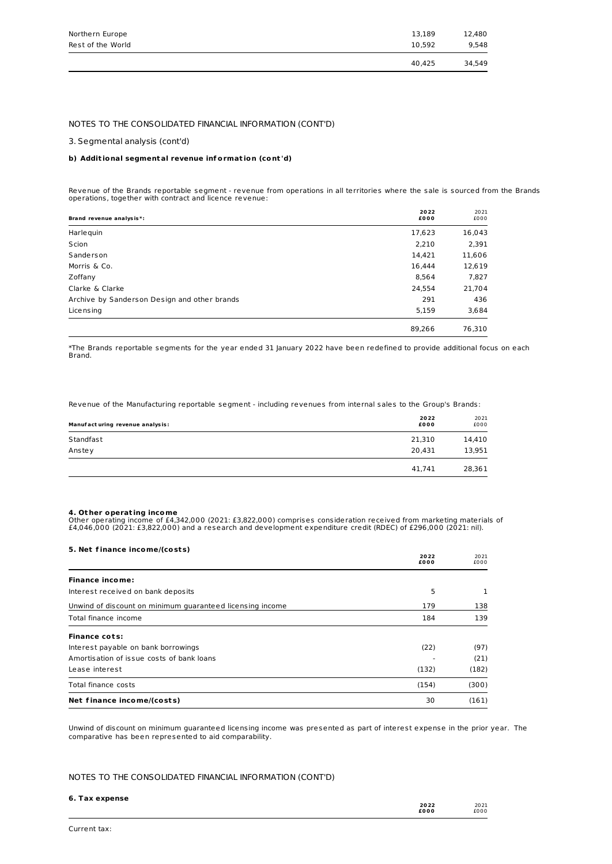|                   | 40.425 | 34.549 |
|-------------------|--------|--------|
| Rest of the World | 10.592 | 9.548  |
| Northern Europe   | 13.189 | 12.480 |
|                   |        |        |

#### NOTES TO THE CONSOLIDATED FINANCIAL INFORMATION (CONT'D)

#### 3. Segmental analysis (cont'd)

#### **b) Addit ional segmental revenue inf ormat ion (cont 'd)**

Revenue of the Brands reportable segment - revenue from operations in all territories where the sale is sourced from the Brands operations, together with contract and licence revenue:

| Brand revenue analysis*:                     | 2022<br>£000 | 2021<br>£000 |
|----------------------------------------------|--------------|--------------|
| Harlequin                                    | 17,623       | 16,043       |
| Scion                                        | 2,210        | 2,391        |
| Sanderson                                    | 14,421       | 11,606       |
| Morris & Co.                                 | 16,444       | 12,619       |
| Zoffany                                      | 8,564        | 7,827        |
| Clarke & Clarke                              | 24,554       | 21,704       |
| Archive by Sanderson Design and other brands | 291          | 436          |
| Licensing                                    | 5,159        | 3,684        |
|                                              | 89.266       | 76.310       |

\*The Brands reportable segments for the year ended 31 January 2022 have been redefined to provide additional focus on each Brand.

Revenue of the Manufacturing reportable segment - including revenues from internal sales to the Group's Brands:

| Manufact uring revenue analysis: | 2022<br>£000 | 2021<br>£000 |
|----------------------------------|--------------|--------------|
| Standfast                        | 21,310       | 14,410       |
| Anstey                           | 20,431       | 13,951       |
|                                  | 41.741       | 28,361       |

**4. Other operating income**<br>Other operating income of £4,342,000 (2021: £3,822,000) comprises consideration received from marketing materials of<br>£4,046,000 (2021: £3,822,000) and a research and development expenditure cred

| 5. Net finance income/(costs)                             |              |              |
|-----------------------------------------------------------|--------------|--------------|
|                                                           | 2022<br>£000 | 2021<br>£000 |
| <b>Finance income:</b>                                    |              |              |
| Interest received on bank deposits                        | 5            | 1            |
| Unwind of discount on minimum quaranteed licensing income | 179          | 138          |
| Total finance income                                      | 184          | 139          |
| <b>Finance cots:</b>                                      |              |              |
| Interest payable on bank borrowings                       | (22)         | (97)         |
| Amortisation of issue costs of bank loans                 |              | (21)         |
| Lease interest                                            | (132)        | (182)        |
| Total finance costs                                       | (154)        | (300)        |
| Net finance income/(costs)                                | 30           | (161)        |

Unwind of discount on minimum guaranteed licensing income was presented as part of interest expense in the prior year. The comparative has been represented to aid comparability.

#### NOTES TO THE CONSOLIDATED FINANCIAL INFORMATION (CONT'D)

| 6. Tax expense |      |      |
|----------------|------|------|
|                | 2022 | 2021 |
|                | £000 | £000 |
|                |      |      |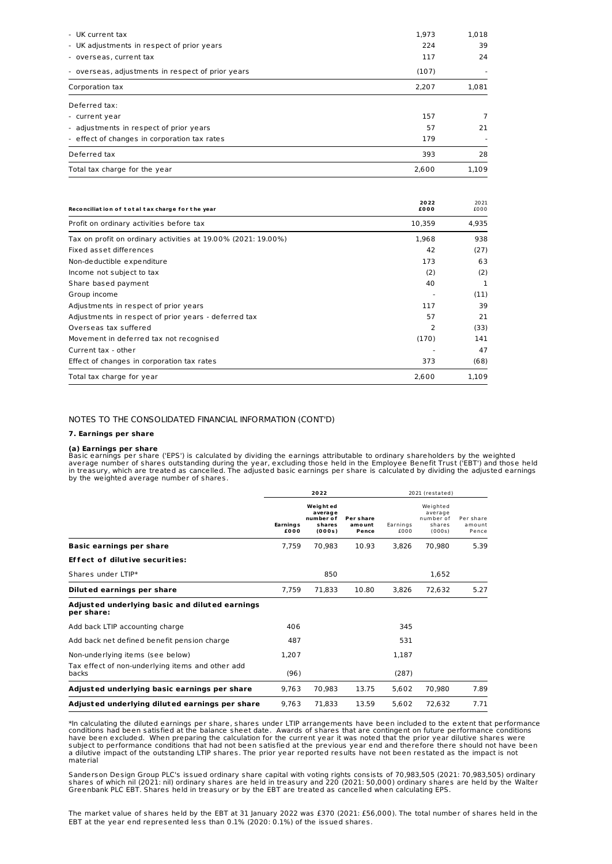| Total tax charge for the year                     | 2.600 | 1.109 |
|---------------------------------------------------|-------|-------|
| Deferred tax                                      | 393   | 28    |
| - effect of changes in corporation tax rates      | 179   |       |
| - adjustments in respect of prior years           | 57    | 21    |
| - current year                                    | 157   | 7     |
| Deferred tax:                                     |       |       |
| Corporation tax                                   | 2,207 | 1,081 |
| - overseas, adjustments in respect of prior years | (107) |       |
| - overseas, current tax                           | 117   | 24    |
| - UK adjustments in respect of prior years        | 224   | 39    |
| - UK current tax                                  | 1.973 | 1,018 |

| Reconciliation of total tax charge for the year               | 2022<br>£000 | 2021<br>£000 |
|---------------------------------------------------------------|--------------|--------------|
| Profit on ordinary activities before tax                      | 10,359       | 4,935        |
| Tax on profit on ordinary activities at 19.00% (2021: 19.00%) | 1,968        | 938          |
| Fixed asset differences                                       | 42           | (27)         |
| Non-deductible expenditure                                    | 173          | 63           |
| Income not subject to tax                                     | (2)          | (2)          |
| Share based payment                                           | 40           | 1            |
| Group income                                                  |              | (11)         |
| Adjustments in respect of prior years                         | 117          | 39           |
| Adjustments in respect of prior years - deferred tax          | 57           | 21           |
| Overseas tax suffered                                         | 2            | (33)         |
| Movement in deferred tax not recognised                       | (170)        | 141          |
| Current tax - other                                           |              | 47           |
| Effect of changes in corporation tax rates                    | 373          | (68)         |
| Total tax charge for year                                     | 2,600        | 1.109        |

#### NOTES TO THE CONSOLIDATED FINANCIAL INFORMATION (CONT'D)

#### **7. Earnings per share**

#### **(a) Earnings per share**

Basic earnings per share ('EPS') is calculated by dividing the earnings attributable to ordinary shareholders by the weighted<br>average number of shares outstanding during the year, excluding those held in the Employee Benef

|                                                              | 2022                    |                                                       | 2021 (restated)              |                  |                                                      |                              |
|--------------------------------------------------------------|-------------------------|-------------------------------------------------------|------------------------------|------------------|------------------------------------------------------|------------------------------|
|                                                              | <b>Earnings</b><br>£000 | Weight ed<br>average<br>number of<br>shares<br>(000s) | Per share<br>amount<br>Pence | Earnings<br>£000 | Weighted<br>average<br>number of<br>shares<br>(000s) | Per share<br>amount<br>Pence |
| <b>Basic earnings per share</b>                              | 7.759                   | 70,983                                                | 10.93                        | 3.826            | 70.980                                               | 5.39                         |
| <b>Effect of dilutive securities:</b>                        |                         |                                                       |                              |                  |                                                      |                              |
| Shares under LTIP*                                           |                         | 850                                                   |                              |                  | 1,652                                                |                              |
| Diluted earnings per share                                   | 7,759                   | 71,833                                                | 10.80                        | 3,826            | 72,632                                               | 5.27                         |
| Adjusted underlying basic and diluted earnings<br>per share: |                         |                                                       |                              |                  |                                                      |                              |
| Add back LTIP accounting charge                              | 406                     |                                                       |                              | 345              |                                                      |                              |
| Add back net defined benefit pension charge                  | 487                     |                                                       |                              | 531              |                                                      |                              |
| Non-underlying items (see below)                             | 1.207                   |                                                       |                              | 1,187            |                                                      |                              |
| Tax effect of non-underlying items and other add<br>backs    | (96)                    |                                                       |                              | (287)            |                                                      |                              |
| Adjusted underlying basic earnings per share                 | 9.763                   | 70.983                                                | 13.75                        | 5,602            | 70.980                                               | 7.89                         |
| Adjusted underlying diluted earnings per share               | 9,763                   | 71,833                                                | 13.59                        | 5,602            | 72,632                                               | 7.71                         |

\*In calculating the diluted earnings per share, shares under LTIP arrangements have been included to the extent that performance conditions had been satisfied at the balance sheet date. Awards of shares that are contingent on future performance conditions<br>have been excluded. When preparing the calculation for the current year it was noted that the a dilutive impact of the outstanding LTIP shares. The prior year reported results have not been restated as the impact is not<br>material

Sanderson Design Group PLC's issued ordinary share capital with voting rights consists of 70,983,505 (2021: 70,983,505) ordinary<br>shares of which nil (2021: nil) ordinary shares are held in treasury and 220 (2021: 50,000) o

The market value of shares held by the EBT at 31 January 2022 was £370 (2021: £56,000). The total number of shares held in the EBT at the year end represented less than 0.1% (2020: 0.1%) of the issued shares.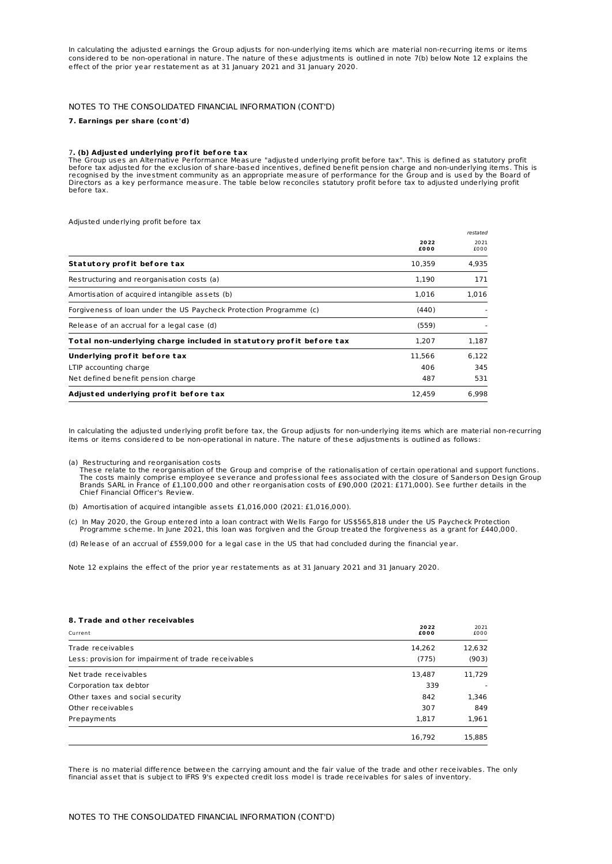In calculating the adjusted earnings the Group adjusts for non-underlying items which are material non-recurring items or items considered to be non-operational in nature. The nature of these adjustments is outlined in note 7(b) below Note 12 explains the effect of the prior year restatement as at 31 January 2021 and 31 January 2020.

## NOTES TO THE CONSOLIDATED FINANCIAL INFORMATION (CONT'D)

#### **7. Earnings per share (cont 'd)**

#### 7**. (b) Adjusted underlying prof it bef ore tax**

The Group uses an Alternative Performance Measure "adjusted underlying profit before tax". This is defined as statutory profit<br>before tax adjusted for the exclusion of share-based incentives, defined benefit pension charge Directors as a key performance measure. The table below reconciles statutory profit before tax to adjusted underlying profit before tax.

Adjusted underlying profit before tax

|                                                                     |              | restated     |
|---------------------------------------------------------------------|--------------|--------------|
|                                                                     | 2022<br>£000 | 2021<br>£000 |
| Statutory profit before tax                                         | 10,359       | 4,935        |
| Restructuring and reorganisation costs (a)                          | 1,190        | 171          |
| Amortisation of acquired intangible assets (b)                      | 1,016        | 1,016        |
| Forgiveness of loan under the US Paycheck Protection Programme (c)  | (440)        |              |
| Release of an accrual for a legal case (d)                          | (559)        |              |
| Total non-underlying charge included in statutory profit before tax | 1.207        | 1.187        |
| Underlying profit before tax                                        | 11,566       | 6.122        |
| LTIP accounting charge                                              | 406          | 345          |
| Net defined benefit pension charge                                  | 487          | 531          |
| Adjusted underlying profit before tax                               | 12.459       | 6.998        |

In calculating the adjusted underlying profit before tax, the Group adjusts for non-underlying items which are material non-recurring items or items considered to be non-operational in nature. The nature of these adjustments is outlined as follows:

(a) Restructuring and reorganisation costs These relate to the reorganisation of the Group and comprise of the rationalisation of certain operational and support functions. The costs mainly comprise employee severance and professional fees associated with the closure of Sanderson Design Group Brands SARL in France of £1,100,000 and other reorganisation costs of £90,000 (2021: £171,000). See further details in the Chief Financial Officer's Review.

(b) Amortisation of acquired intangible assets £1,016,000 (2021: £1,016,000).

c) In May 2020, the Group entered into a loan contract with Wells Fargo for US\$565,818 under the US Paycheck Protection<br>.Programme scheme. In June 2021, this loan was forgiven and the Group treated the forgiveness as a gra

(d) Release of an accrual of £559,000 for a legal case in the US that had concluded during the financial year.

Note 12 explains the effect of the prior year restatements as at 31 January 2021 and 31 January 2020.

#### **8. Trade and ot her receivables**

| Current                                             | 2022<br>£000 | 2021<br>£000 |
|-----------------------------------------------------|--------------|--------------|
| Trade receivables                                   | 14,262       | 12,632       |
| Less: provision for impairment of trade receivables | (775)        | (903)        |
| Net trade receivables                               | 13,487       | 11,729       |
| Corporation tax debtor                              | 339          |              |
| Other taxes and social security                     | 842          | 1,346        |
| Other receivables                                   | 307          | 849          |
| Prepayments                                         | 1,817        | 1,961        |
|                                                     | 16,792       | 15,885       |

There is no material difference between the carrying amount and the fair value of the trade and other receivables. The only financial asset that is subject to IFRS 9's expected credit loss model is trade receivables for sales of inventory.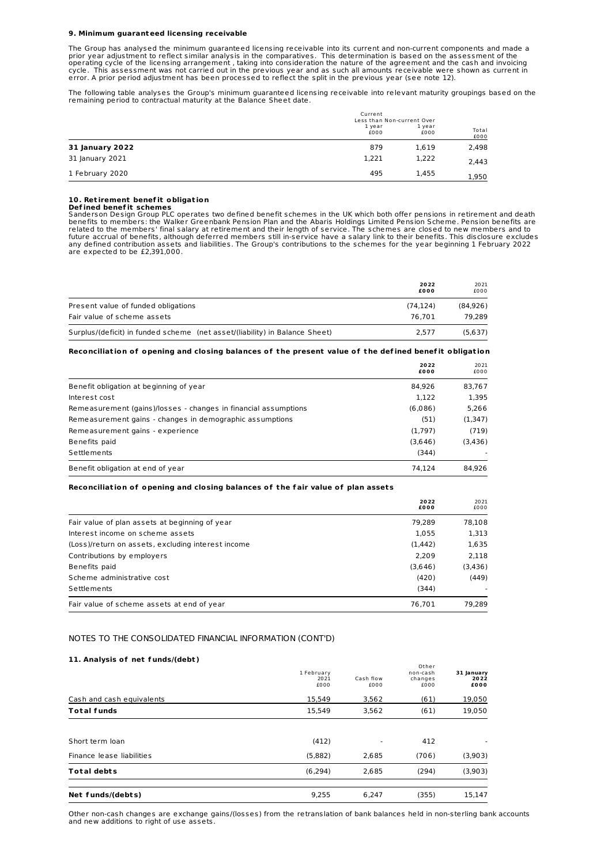#### **9. Minimum guaranteed licensing receivable**

The Group has analysed the minimum guaranteed licensing receivable into its current and non-current components and made a prior year adjustment to reflect similar analysis in the comparatives. This determination is based on the assessment of the<br>operating cycle of the licensing arrangement , taking into consideration the nature of the agreeme cycle. This assessment was not carried out in the previous year and as such all amounts receivable were shown as current in<br>error. A prior period adjustment has been processed to reflect the split in the previous year (se

The following table analyses the Group's minimum guaranteed licensing receivable into relevant maturity groupings based on the remaining period to contractual maturity at the Balance Sheet date.

|                        | Current<br>Less than Non-current Over |                |               |
|------------------------|---------------------------------------|----------------|---------------|
|                        | 1 year<br>£000                        | 1 year<br>£000 | Total<br>£000 |
| <b>31 January 2022</b> | 879                                   | 1,619          | 2,498         |
| 31 January 2021        | 1,221                                 | 1,222          | 2,443         |
| 1 February 2020        | 495                                   | 1,455          | 1,950         |

**10. Retirement benefit obligation**<br>**Defined benefit schemes**<br>Sanderson Design Group PLC operates two defined benefit schemes in the UK which both offer pensions in retirement and death<br>benefits to members: the Walker Gree any defined contribution assets and liabilities. The Group's contributions to the schemes for the year beginning 1 February 2022 are expected to be £2,391,000.

|                                                                             | 2022<br>£000 | 2021<br>£000 |
|-----------------------------------------------------------------------------|--------------|--------------|
| Present value of funded obligations                                         | (74.124)     | (84.926)     |
| Fair value of scheme assets                                                 | 76.701       | 79.289       |
| Surplus/(deficit) in funded scheme (net asset/(liability) in Balance Sheet) | 2.577        | (5,637)      |

#### Reconciliation of opening and closing balances of the present value of the defined benefit obligation

|                                                                 | 2022<br>£000 | 2021<br>£000 |
|-----------------------------------------------------------------|--------------|--------------|
| Benefit obligation at beginning of year                         | 84.926       | 83,767       |
| Interest cost                                                   | 1.122        | 1,395        |
| Remeasurement (gains)/losses - changes in financial assumptions | (6.086)      | 5.266        |
| Remeasurement gains - changes in demographic assumptions        | (51)         | (1,347)      |
| Remeasurement gains - experience                                | (1,797)      | (719)        |
| Benefits paid                                                   | (3,646)      | (3,436)      |
| Settlements                                                     | (344)        |              |
| Benefit obligation at end of year                               | 74.124       | 84.926       |

#### **Reconciliat ion of opening and closing balances of t he f air value of plan asset s**

|                                                    | 2022<br>£000 | 2021<br>£000 |
|----------------------------------------------------|--------------|--------------|
| Fair value of plan assets at beginning of year     | 79.289       | 78.108       |
| Interest income on scheme assets                   | 1,055        | 1,313        |
| (Loss)/return on assets, excluding interest income | (1, 442)     | 1,635        |
| Contributions by employers                         | 2.209        | 2.118        |
| Benefits paid                                      | (3,646)      | (3,436)      |
| Scheme administrative cost                         | (420)        | (449)        |
| Settlements                                        | (344)        |              |
| Fair value of scheme assets at end of year         | 76.701       | 79.289       |

#### NOTES TO THE CONSOLIDATED FINANCIAL INFORMATION (CONT'D)

#### **11. Analysis of net f unds/(debt )**

| Net funds/(debts)         | 9.255                      | 6.247             | (355)                                | 15,147                     |
|---------------------------|----------------------------|-------------------|--------------------------------------|----------------------------|
| <b>Total debts</b>        | (6, 294)                   | 2,685             | (294)                                | (3,903)                    |
| Finance lease liabilities | (5,882)                    | 2,685             | (706)                                | (3,903)                    |
| Short term loan           | (412)                      | ٠                 | 412                                  |                            |
| <b>Total funds</b>        | 15.549                     | 3,562             | (61)                                 | 19,050                     |
| Cash and cash equivalents | 15,549                     | 3,562             | (61)                                 | 19,050                     |
|                           | 1 February<br>2021<br>£000 | Cash flow<br>£000 | Other<br>non-cash<br>changes<br>£000 | 31 January<br>2022<br>£000 |

Other non-cash changes are exchange gains/(losses) from the retranslation of bank balances held in non-sterling bank accounts and new additions to right of use assets.